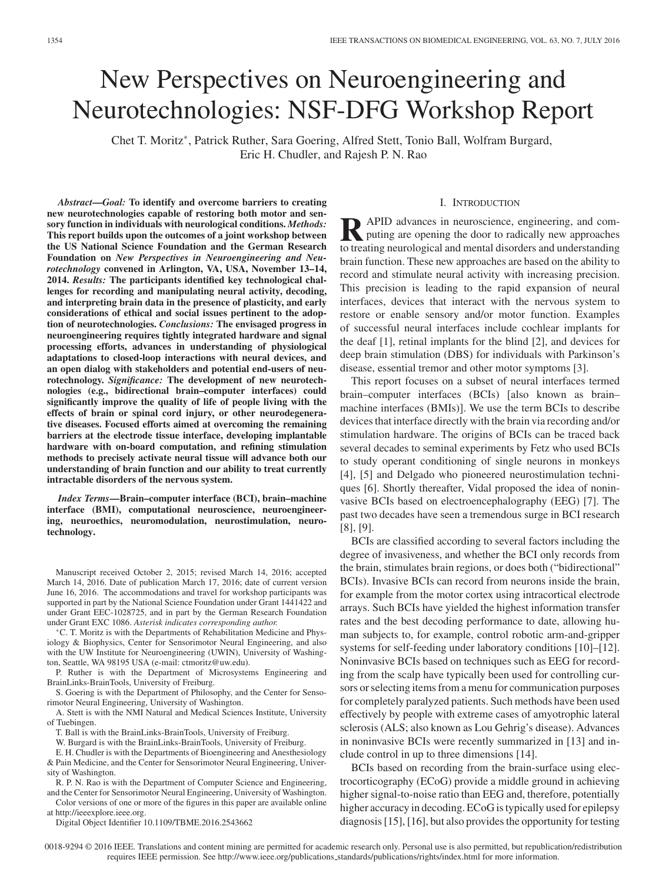# New Perspectives on Neuroengineering and Neurotechnologies: NSF-DFG Workshop Report

Chet T. Moritz<sup>∗</sup>, Patrick Ruther, Sara Goering, Alfred Stett, Tonio Ball, Wolfram Burgard, Eric H. Chudler, and Rajesh P. N. Rao

*Abstract***—***Goal:* **To identify and overcome barriers to creating new neurotechnologies capable of restoring both motor and sensory function in individuals with neurological conditions.** *Methods:* **This report builds upon the outcomes of a joint workshop between the US National Science Foundation and the German Research Foundation on** *New Perspectives in Neuroengineering and Neurotechnology* **convened in Arlington, VA, USA, November 13–14, 2014.** *Results:* **The participants identified key technological challenges for recording and manipulating neural activity, decoding, and interpreting brain data in the presence of plasticity, and early considerations of ethical and social issues pertinent to the adoption of neurotechnologies.** *Conclusions:* **The envisaged progress in neuroengineering requires tightly integrated hardware and signal processing efforts, advances in understanding of physiological adaptations to closed-loop interactions with neural devices, and an open dialog with stakeholders and potential end-users of neurotechnology.** *Significance:* **The development of new neurotechnologies (e.g., bidirectional brain–computer interfaces) could significantly improve the quality of life of people living with the effects of brain or spinal cord injury, or other neurodegenerative diseases. Focused efforts aimed at overcoming the remaining barriers at the electrode tissue interface, developing implantable hardware with on-board computation, and refining stimulation methods to precisely activate neural tissue will advance both our understanding of brain function and our ability to treat currently intractable disorders of the nervous system.**

*Index Terms***—Brain–computer interface (BCI), brain–machine interface (BMI), computational neuroscience, neuroengineering, neuroethics, neuromodulation, neurostimulation, neurotechnology.**

Manuscript received October 2, 2015; revised March 14, 2016; accepted March 14, 2016. Date of publication March 17, 2016; date of current version June 16, 2016. The accommodations and travel for workshop participants was supported in part by the National Science Foundation under Grant 1441422 and under Grant EEC-1028725, and in part by the German Research Foundation under Grant EXC 1086. *Asterisk indicates corresponding author.* <sup>∗</sup>C. T. Moritz is with the Departments of Rehabilitation Medicine and Phys-

iology & Biophysics, Center for Sensorimotor Neural Engineering, and also with the UW Institute for Neuroengineering (UWIN), University of Washington, Seattle, WA 98195 USA (e-mail: ctmoritz@uw.edu).

P. Ruther is with the Department of Microsystems Engineering and BrainLinks-BrainTools, University of Freiburg.

S. Goering is with the Department of Philosophy, and the Center for Sensorimotor Neural Engineering, University of Washington.

A. Stett is with the NMI Natural and Medical Sciences Institute, University of Tuebingen.

T. Ball is with the BrainLinks-BrainTools, University of Freiburg.

W. Burgard is with the BrainLinks-BrainTools, University of Freiburg.

E. H. Chudler is with the Departments of Bioengineering and Anesthesiology & Pain Medicine, and the Center for Sensorimotor Neural Engineering, University of Washington.

R. P. N. Rao is with the Department of Computer Science and Engineering, and the Center for Sensorimotor Neural Engineering, University of Washington.

Color versions of one or more of the figures in this paper are available online at http://ieeexplore.ieee.org.

Digital Object Identifier 10.1109/TBME.2016.2543662

## I. INTRODUCTION

**R**APID advances in neuroscience, engineering, and com-<br>puting are opening the door to radically new approaches to treating neurological and mental disorders and understanding brain function. These new approaches are based on the ability to record and stimulate neural activity with increasing precision. This precision is leading to the rapid expansion of neural interfaces, devices that interact with the nervous system to restore or enable sensory and/or motor function. Examples of successful neural interfaces include cochlear implants for the deaf [1], retinal implants for the blind [2], and devices for deep brain stimulation (DBS) for individuals with Parkinson's disease, essential tremor and other motor symptoms [3].

This report focuses on a subset of neural interfaces termed brain–computer interfaces (BCIs) [also known as brain– machine interfaces (BMIs)]. We use the term BCIs to describe devices that interface directly with the brain via recording and/or stimulation hardware. The origins of BCIs can be traced back several decades to seminal experiments by Fetz who used BCIs to study operant conditioning of single neurons in monkeys [4], [5] and Delgado who pioneered neurostimulation techniques [6]. Shortly thereafter, Vidal proposed the idea of noninvasive BCIs based on electroencephalography (EEG) [7]. The past two decades have seen a tremendous surge in BCI research [8], [9].

BCIs are classified according to several factors including the degree of invasiveness, and whether the BCI only records from the brain, stimulates brain regions, or does both ("bidirectional" BCIs). Invasive BCIs can record from neurons inside the brain, for example from the motor cortex using intracortical electrode arrays. Such BCIs have yielded the highest information transfer rates and the best decoding performance to date, allowing human subjects to, for example, control robotic arm-and-gripper systems for self-feeding under laboratory conditions [10]–[12]. Noninvasive BCIs based on techniques such as EEG for recording from the scalp have typically been used for controlling cursors or selecting items from a menu for communication purposes for completely paralyzed patients. Such methods have been used effectively by people with extreme cases of amyotrophic lateral sclerosis (ALS; also known as Lou Gehrig's disease). Advances in noninvasive BCIs were recently summarized in [13] and include control in up to three dimensions [14].

BCIs based on recording from the brain-surface using electrocorticography (ECoG) provide a middle ground in achieving higher signal-to-noise ratio than EEG and, therefore, potentially higher accuracy in decoding. ECoG is typically used for epilepsy diagnosis [15], [16], but also provides the opportunity for testing

0018-9294 © 2016 IEEE. Translations and content mining are permitted for academic research only. Personal use is also permitted, but republication/redistribution requires IEEE permission. See http://www.ieee.org/publications standards/publications/rights/index.html for more information.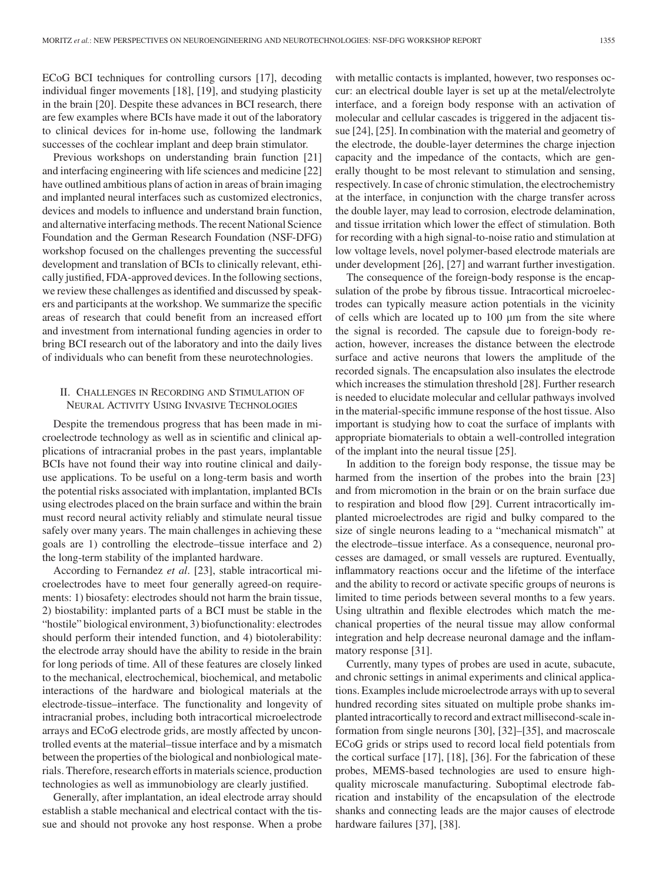ECoG BCI techniques for controlling cursors [17], decoding individual finger movements [18], [19], and studying plasticity in the brain [20]. Despite these advances in BCI research, there are few examples where BCIs have made it out of the laboratory to clinical devices for in-home use, following the landmark successes of the cochlear implant and deep brain stimulator.

Previous workshops on understanding brain function [21] and interfacing engineering with life sciences and medicine [22] have outlined ambitious plans of action in areas of brain imaging and implanted neural interfaces such as customized electronics, devices and models to influence and understand brain function, and alternative interfacing methods. The recent National Science Foundation and the German Research Foundation (NSF-DFG) workshop focused on the challenges preventing the successful development and translation of BCIs to clinically relevant, ethically justified, FDA-approved devices. In the following sections, we review these challenges as identified and discussed by speakers and participants at the workshop. We summarize the specific areas of research that could benefit from an increased effort and investment from international funding agencies in order to bring BCI research out of the laboratory and into the daily lives of individuals who can benefit from these neurotechnologies.

## II. CHALLENGES IN RECORDING AND STIMULATION OF NEURAL ACTIVITY USING INVASIVE TECHNOLOGIES

Despite the tremendous progress that has been made in microelectrode technology as well as in scientific and clinical applications of intracranial probes in the past years, implantable BCIs have not found their way into routine clinical and dailyuse applications. To be useful on a long-term basis and worth the potential risks associated with implantation, implanted BCIs using electrodes placed on the brain surface and within the brain must record neural activity reliably and stimulate neural tissue safely over many years. The main challenges in achieving these goals are 1) controlling the electrode–tissue interface and 2) the long-term stability of the implanted hardware.

According to Fernandez *et al*. [23], stable intracortical microelectrodes have to meet four generally agreed-on requirements: 1) biosafety: electrodes should not harm the brain tissue, 2) biostability: implanted parts of a BCI must be stable in the "hostile" biological environment, 3) biofunctionality: electrodes should perform their intended function, and 4) biotolerability: the electrode array should have the ability to reside in the brain for long periods of time. All of these features are closely linked to the mechanical, electrochemical, biochemical, and metabolic interactions of the hardware and biological materials at the electrode-tissue–interface. The functionality and longevity of intracranial probes, including both intracortical microelectrode arrays and ECoG electrode grids, are mostly affected by uncontrolled events at the material–tissue interface and by a mismatch between the properties of the biological and nonbiological materials. Therefore, research efforts in materials science, production technologies as well as immunobiology are clearly justified.

Generally, after implantation, an ideal electrode array should establish a stable mechanical and electrical contact with the tissue and should not provoke any host response. When a probe with metallic contacts is implanted, however, two responses occur: an electrical double layer is set up at the metal/electrolyte interface, and a foreign body response with an activation of molecular and cellular cascades is triggered in the adjacent tissue [24], [25]. In combination with the material and geometry of the electrode, the double-layer determines the charge injection capacity and the impedance of the contacts, which are generally thought to be most relevant to stimulation and sensing, respectively. In case of chronic stimulation, the electrochemistry at the interface, in conjunction with the charge transfer across the double layer, may lead to corrosion, electrode delamination, and tissue irritation which lower the effect of stimulation. Both for recording with a high signal-to-noise ratio and stimulation at low voltage levels, novel polymer-based electrode materials are under development [26], [27] and warrant further investigation.

The consequence of the foreign-body response is the encapsulation of the probe by fibrous tissue. Intracortical microelectrodes can typically measure action potentials in the vicinity of cells which are located up to 100 μm from the site where the signal is recorded. The capsule due to foreign-body reaction, however, increases the distance between the electrode surface and active neurons that lowers the amplitude of the recorded signals. The encapsulation also insulates the electrode which increases the stimulation threshold [28]. Further research is needed to elucidate molecular and cellular pathways involved in the material-specific immune response of the host tissue. Also important is studying how to coat the surface of implants with appropriate biomaterials to obtain a well-controlled integration of the implant into the neural tissue [25].

In addition to the foreign body response, the tissue may be harmed from the insertion of the probes into the brain [23] and from micromotion in the brain or on the brain surface due to respiration and blood flow [29]. Current intracortically implanted microelectrodes are rigid and bulky compared to the size of single neurons leading to a "mechanical mismatch" at the electrode–tissue interface. As a consequence, neuronal processes are damaged, or small vessels are ruptured. Eventually, inflammatory reactions occur and the lifetime of the interface and the ability to record or activate specific groups of neurons is limited to time periods between several months to a few years. Using ultrathin and flexible electrodes which match the mechanical properties of the neural tissue may allow conformal integration and help decrease neuronal damage and the inflammatory response [31].

Currently, many types of probes are used in acute, subacute, and chronic settings in animal experiments and clinical applications. Examples include microelectrode arrays with up to several hundred recording sites situated on multiple probe shanks implanted intracortically to record and extract millisecond-scale information from single neurons [30], [32]–[35], and macroscale ECoG grids or strips used to record local field potentials from the cortical surface [17], [18], [36]. For the fabrication of these probes, MEMS-based technologies are used to ensure highquality microscale manufacturing. Suboptimal electrode fabrication and instability of the encapsulation of the electrode shanks and connecting leads are the major causes of electrode hardware failures [37], [38].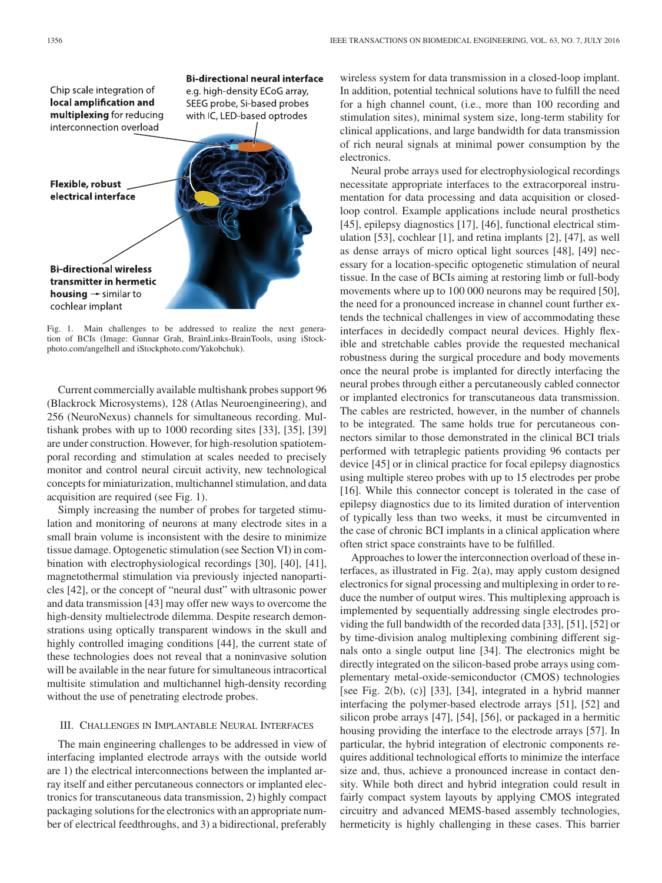

Fig. 1. Main challenges to be addressed to realize the next generation of BCIs (Image: Gunnar Grah, BrainLinks-BrainTools, using iStockphoto.com/angelhell and iStockphoto.com/Yakobchuk).

Current commercially available multishank probes support 96 (Blackrock Microsystems), 128 (Atlas Neuroengineering), and 256 (NeuroNexus) channels for simultaneous recording. Multishank probes with up to 1000 recording sites [33], [35], [39] are under construction. However, for high-resolution spatiotemporal recording and stimulation at scales needed to precisely monitor and control neural circuit activity, new technological concepts for miniaturization, multichannel stimulation, and data acquisition are required (see Fig. 1).

Simply increasing the number of probes for targeted stimulation and monitoring of neurons at many electrode sites in a small brain volume is inconsistent with the desire to minimize tissue damage. Optogenetic stimulation (see Section VI) in combination with electrophysiological recordings [30], [40], [41], magnetothermal stimulation via previously injected nanoparticles [42], or the concept of "neural dust" with ultrasonic power and data transmission [43] may offer new ways to overcome the high-density multielectrode dilemma. Despite research demonstrations using optically transparent windows in the skull and highly controlled imaging conditions [44], the current state of these technologies does not reveal that a noninvasive solution will be available in the near future for simultaneous intracortical multisite stimulation and multichannel high-density recording without the use of penetrating electrode probes.

#### III. CHALLENGES IN IMPLANTABLE NEURAL INTERFACES

The main engineering challenges to be addressed in view of interfacing implanted electrode arrays with the outside world are 1) the electrical interconnections between the implanted array itself and either percutaneous connectors or implanted electronics for transcutaneous data transmission, 2) highly compact packaging solutions for the electronics with an appropriate number of electrical feedthroughs, and 3) a bidirectional, preferably

wireless system for data transmission in a closed-loop implant. In addition, potential technical solutions have to fulfill the need for a high channel count, (i.e., more than 100 recording and stimulation sites), minimal system size, long-term stability for clinical applications, and large bandwidth for data transmission of rich neural signals at minimal power consumption by the electronics.

Neural probe arrays used for electrophysiological recordings necessitate appropriate interfaces to the extracorporeal instrumentation for data processing and data acquisition or closedloop control. Example applications include neural prosthetics [45], epilepsy diagnostics [17], [46], functional electrical stimulation [53], cochlear [1], and retina implants [2], [47], as well as dense arrays of micro optical light sources [48], [49] necessary for a location-specific optogenetic stimulation of neural tissue. In the case of BCIs aiming at restoring limb or full-body movements where up to 100 000 neurons may be required [50], the need for a pronounced increase in channel count further extends the technical challenges in view of accommodating these interfaces in decidedly compact neural devices. Highly flexible and stretchable cables provide the requested mechanical robustness during the surgical procedure and body movements once the neural probe is implanted for directly interfacing the neural probes through either a percutaneously cabled connector or implanted electronics for transcutaneous data transmission. The cables are restricted, however, in the number of channels to be integrated. The same holds true for percutaneous connectors similar to those demonstrated in the clinical BCI trials performed with tetraplegic patients providing 96 contacts per device [45] or in clinical practice for focal epilepsy diagnostics using multiple stereo probes with up to 15 electrodes per probe [16]. While this connector concept is tolerated in the case of epilepsy diagnostics due to its limited duration of intervention of typically less than two weeks, it must be circumvented in the case of chronic BCI implants in a clinical application where often strict space constraints have to be fulfilled.

Approaches to lower the interconnection overload of these interfaces, as illustrated in Fig. 2(a), may apply custom designed electronics for signal processing and multiplexing in order to reduce the number of output wires. This multiplexing approach is implemented by sequentially addressing single electrodes providing the full bandwidth of the recorded data [33], [51], [52] or by time-division analog multiplexing combining different signals onto a single output line [34]. The electronics might be directly integrated on the silicon-based probe arrays using complementary metal-oxide-semiconductor (CMOS) technologies [see Fig. 2(b), (c)] [33], [34], integrated in a hybrid manner interfacing the polymer-based electrode arrays [51], [52] and silicon probe arrays [47], [54], [56], or packaged in a hermitic housing providing the interface to the electrode arrays [57]. In particular, the hybrid integration of electronic components requires additional technological efforts to minimize the interface size and, thus, achieve a pronounced increase in contact density. While both direct and hybrid integration could result in fairly compact system layouts by applying CMOS integrated circuitry and advanced MEMS-based assembly technologies, hermeticity is highly challenging in these cases. This barrier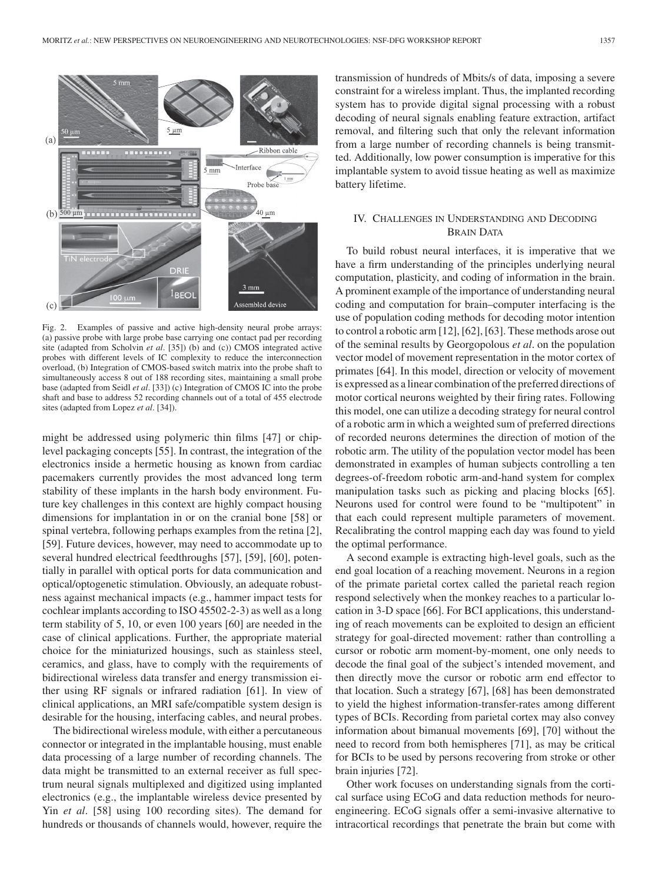

Fig. 2. Examples of passive and active high-density neural probe arrays: (a) passive probe with large probe base carrying one contact pad per recording site (adapted from Scholvin *et al*. [35]) (b) and (c)) CMOS integrated active probes with different levels of IC complexity to reduce the interconnection overload, (b) Integration of CMOS-based switch matrix into the probe shaft to simultaneously access 8 out of 188 recording sites, maintaining a small probe base (adapted from Seidl *et al*. [33]) (c) Integration of CMOS IC into the probe shaft and base to address 52 recording channels out of a total of 455 electrode sites (adapted from Lopez *et al*. [34]).

might be addressed using polymeric thin films [47] or chiplevel packaging concepts [55]. In contrast, the integration of the electronics inside a hermetic housing as known from cardiac pacemakers currently provides the most advanced long term stability of these implants in the harsh body environment. Future key challenges in this context are highly compact housing dimensions for implantation in or on the cranial bone [58] or spinal vertebra, following perhaps examples from the retina [2], [59]. Future devices, however, may need to accommodate up to several hundred electrical feedthroughs [57], [59], [60], potentially in parallel with optical ports for data communication and optical/optogenetic stimulation. Obviously, an adequate robustness against mechanical impacts (e.g., hammer impact tests for cochlear implants according to ISO 45502-2-3) as well as a long term stability of 5, 10, or even 100 years [60] are needed in the case of clinical applications. Further, the appropriate material choice for the miniaturized housings, such as stainless steel, ceramics, and glass, have to comply with the requirements of bidirectional wireless data transfer and energy transmission either using RF signals or infrared radiation [61]. In view of clinical applications, an MRI safe/compatible system design is desirable for the housing, interfacing cables, and neural probes.

The bidirectional wireless module, with either a percutaneous connector or integrated in the implantable housing, must enable data processing of a large number of recording channels. The data might be transmitted to an external receiver as full spectrum neural signals multiplexed and digitized using implanted electronics (e.g., the implantable wireless device presented by Yin *et al*. [58] using 100 recording sites). The demand for hundreds or thousands of channels would, however, require the

transmission of hundreds of Mbits/s of data, imposing a severe constraint for a wireless implant. Thus, the implanted recording system has to provide digital signal processing with a robust decoding of neural signals enabling feature extraction, artifact removal, and filtering such that only the relevant information from a large number of recording channels is being transmitted. Additionally, low power consumption is imperative for this implantable system to avoid tissue heating as well as maximize battery lifetime.

## IV. CHALLENGES IN UNDERSTANDING AND DECODING BRAIN DATA

To build robust neural interfaces, it is imperative that we have a firm understanding of the principles underlying neural computation, plasticity, and coding of information in the brain. A prominent example of the importance of understanding neural coding and computation for brain–computer interfacing is the use of population coding methods for decoding motor intention to control a robotic arm [12], [62], [63]. These methods arose out of the seminal results by Georgopolous *et al*. on the population vector model of movement representation in the motor cortex of primates [64]. In this model, direction or velocity of movement is expressed as a linear combination of the preferred directions of motor cortical neurons weighted by their firing rates. Following this model, one can utilize a decoding strategy for neural control of a robotic arm in which a weighted sum of preferred directions of recorded neurons determines the direction of motion of the robotic arm. The utility of the population vector model has been demonstrated in examples of human subjects controlling a ten degrees-of-freedom robotic arm-and-hand system for complex manipulation tasks such as picking and placing blocks [65]. Neurons used for control were found to be "multipotent" in that each could represent multiple parameters of movement. Recalibrating the control mapping each day was found to yield the optimal performance.

A second example is extracting high-level goals, such as the end goal location of a reaching movement. Neurons in a region of the primate parietal cortex called the parietal reach region respond selectively when the monkey reaches to a particular location in 3-D space [66]. For BCI applications, this understanding of reach movements can be exploited to design an efficient strategy for goal-directed movement: rather than controlling a cursor or robotic arm moment-by-moment, one only needs to decode the final goal of the subject's intended movement, and then directly move the cursor or robotic arm end effector to that location. Such a strategy [67], [68] has been demonstrated to yield the highest information-transfer-rates among different types of BCIs. Recording from parietal cortex may also convey information about bimanual movements [69], [70] without the need to record from both hemispheres [71], as may be critical for BCIs to be used by persons recovering from stroke or other brain injuries [72].

Other work focuses on understanding signals from the cortical surface using ECoG and data reduction methods for neuroengineering. ECoG signals offer a semi-invasive alternative to intracortical recordings that penetrate the brain but come with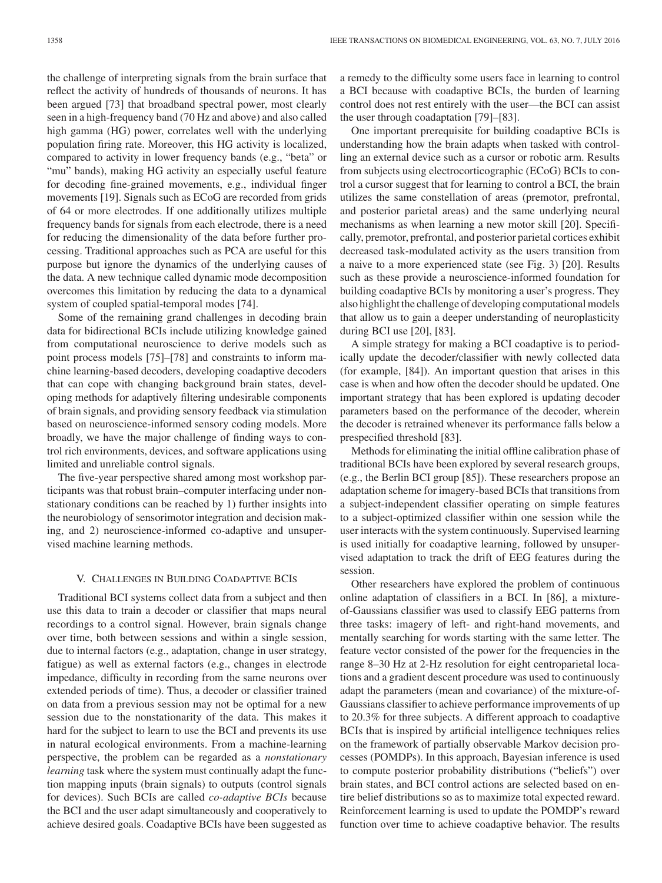the challenge of interpreting signals from the brain surface that reflect the activity of hundreds of thousands of neurons. It has been argued [73] that broadband spectral power, most clearly seen in a high-frequency band (70 Hz and above) and also called high gamma (HG) power, correlates well with the underlying population firing rate. Moreover, this HG activity is localized, compared to activity in lower frequency bands (e.g., "beta" or "mu" bands), making HG activity an especially useful feature for decoding fine-grained movements, e.g., individual finger movements [19]. Signals such as ECoG are recorded from grids of 64 or more electrodes. If one additionally utilizes multiple frequency bands for signals from each electrode, there is a need for reducing the dimensionality of the data before further processing. Traditional approaches such as PCA are useful for this purpose but ignore the dynamics of the underlying causes of the data. A new technique called dynamic mode decomposition overcomes this limitation by reducing the data to a dynamical system of coupled spatial-temporal modes [74].

Some of the remaining grand challenges in decoding brain data for bidirectional BCIs include utilizing knowledge gained from computational neuroscience to derive models such as point process models [75]–[78] and constraints to inform machine learning-based decoders, developing coadaptive decoders that can cope with changing background brain states, developing methods for adaptively filtering undesirable components of brain signals, and providing sensory feedback via stimulation based on neuroscience-informed sensory coding models. More broadly, we have the major challenge of finding ways to control rich environments, devices, and software applications using limited and unreliable control signals.

The five-year perspective shared among most workshop participants was that robust brain–computer interfacing under nonstationary conditions can be reached by 1) further insights into the neurobiology of sensorimotor integration and decision making, and 2) neuroscience-informed co-adaptive and unsupervised machine learning methods.

#### V. CHALLENGES IN BUILDING COADAPTIVE BCIS

Traditional BCI systems collect data from a subject and then use this data to train a decoder or classifier that maps neural recordings to a control signal. However, brain signals change over time, both between sessions and within a single session, due to internal factors (e.g., adaptation, change in user strategy, fatigue) as well as external factors (e.g., changes in electrode impedance, difficulty in recording from the same neurons over extended periods of time). Thus, a decoder or classifier trained on data from a previous session may not be optimal for a new session due to the nonstationarity of the data. This makes it hard for the subject to learn to use the BCI and prevents its use in natural ecological environments. From a machine-learning perspective, the problem can be regarded as a *nonstationary learning* task where the system must continually adapt the function mapping inputs (brain signals) to outputs (control signals for devices). Such BCIs are called *co-adaptive BCIs* because the BCI and the user adapt simultaneously and cooperatively to achieve desired goals. Coadaptive BCIs have been suggested as

a remedy to the difficulty some users face in learning to control a BCI because with coadaptive BCIs, the burden of learning control does not rest entirely with the user—the BCI can assist the user through coadaptation [79]–[83].

One important prerequisite for building coadaptive BCIs is understanding how the brain adapts when tasked with controlling an external device such as a cursor or robotic arm. Results from subjects using electrocorticographic (ECoG) BCIs to control a cursor suggest that for learning to control a BCI, the brain utilizes the same constellation of areas (premotor, prefrontal, and posterior parietal areas) and the same underlying neural mechanisms as when learning a new motor skill [20]. Specifically, premotor, prefrontal, and posterior parietal cortices exhibit decreased task-modulated activity as the users transition from a naive to a more experienced state (see Fig. 3) [20]. Results such as these provide a neuroscience-informed foundation for building coadaptive BCIs by monitoring a user's progress. They also highlight the challenge of developing computational models that allow us to gain a deeper understanding of neuroplasticity during BCI use [20], [83].

A simple strategy for making a BCI coadaptive is to periodically update the decoder/classifier with newly collected data (for example, [84]). An important question that arises in this case is when and how often the decoder should be updated. One important strategy that has been explored is updating decoder parameters based on the performance of the decoder, wherein the decoder is retrained whenever its performance falls below a prespecified threshold [83].

Methods for eliminating the initial offline calibration phase of traditional BCIs have been explored by several research groups, (e.g., the Berlin BCI group [85]). These researchers propose an adaptation scheme for imagery-based BCIs that transitions from a subject-independent classifier operating on simple features to a subject-optimized classifier within one session while the user interacts with the system continuously. Supervised learning is used initially for coadaptive learning, followed by unsupervised adaptation to track the drift of EEG features during the session.

Other researchers have explored the problem of continuous online adaptation of classifiers in a BCI. In [86], a mixtureof-Gaussians classifier was used to classify EEG patterns from three tasks: imagery of left- and right-hand movements, and mentally searching for words starting with the same letter. The feature vector consisted of the power for the frequencies in the range 8–30 Hz at 2-Hz resolution for eight centroparietal locations and a gradient descent procedure was used to continuously adapt the parameters (mean and covariance) of the mixture-of-Gaussians classifier to achieve performance improvements of up to 20.3% for three subjects. A different approach to coadaptive BCIs that is inspired by artificial intelligence techniques relies on the framework of partially observable Markov decision processes (POMDPs). In this approach, Bayesian inference is used to compute posterior probability distributions ("beliefs") over brain states, and BCI control actions are selected based on entire belief distributions so as to maximize total expected reward. Reinforcement learning is used to update the POMDP's reward function over time to achieve coadaptive behavior. The results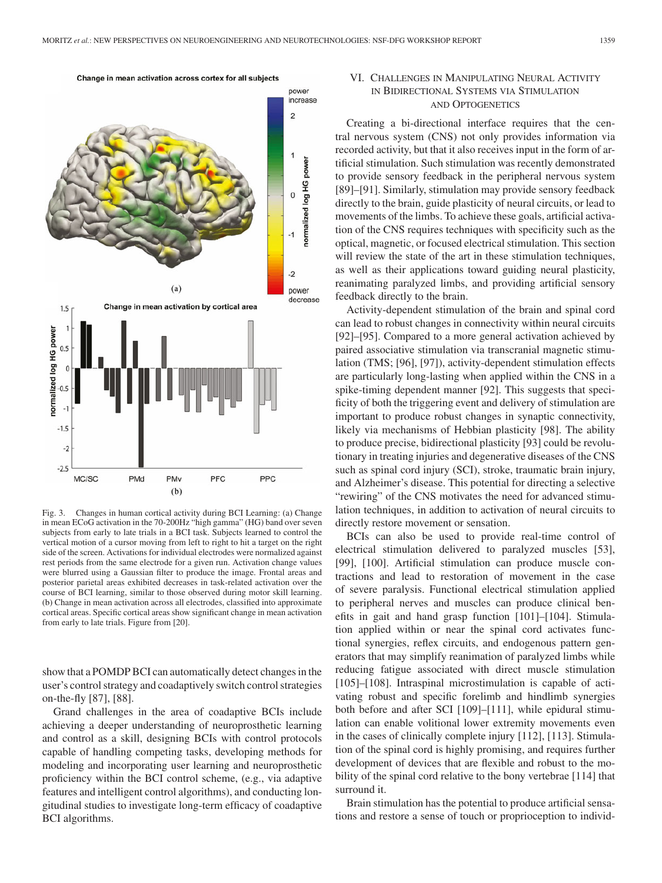

Fig. 3. Changes in human cortical activity during BCI Learning: (a) Change in mean ECoG activation in the 70-200Hz "high gamma" (HG) band over seven subjects from early to late trials in a BCI task. Subjects learned to control the vertical motion of a cursor moving from left to right to hit a target on the right side of the screen. Activations for individual electrodes were normalized against rest periods from the same electrode for a given run. Activation change values were blurred using a Gaussian filter to produce the image. Frontal areas and posterior parietal areas exhibited decreases in task-related activation over the course of BCI learning, similar to those observed during motor skill learning. (b) Change in mean activation across all electrodes, classified into approximate cortical areas. Specific cortical areas show significant change in mean activation from early to late trials. Figure from [20].

show that a POMDP BCI can automatically detect changes in the user's control strategy and coadaptively switch control strategies on-the-fly [87], [88].

Grand challenges in the area of coadaptive BCIs include achieving a deeper understanding of neuroprosthetic learning and control as a skill, designing BCIs with control protocols capable of handling competing tasks, developing methods for modeling and incorporating user learning and neuroprosthetic proficiency within the BCI control scheme, (e.g., via adaptive features and intelligent control algorithms), and conducting longitudinal studies to investigate long-term efficacy of coadaptive BCI algorithms.

## VI. CHALLENGES IN MANIPULATING NEURAL ACTIVITY IN BIDIRECTIONAL SYSTEMS VIA STIMULATION AND OPTOGENETICS

Creating a bi-directional interface requires that the central nervous system (CNS) not only provides information via recorded activity, but that it also receives input in the form of artificial stimulation. Such stimulation was recently demonstrated to provide sensory feedback in the peripheral nervous system [89]–[91]. Similarly, stimulation may provide sensory feedback directly to the brain, guide plasticity of neural circuits, or lead to movements of the limbs. To achieve these goals, artificial activation of the CNS requires techniques with specificity such as the optical, magnetic, or focused electrical stimulation. This section will review the state of the art in these stimulation techniques, as well as their applications toward guiding neural plasticity, reanimating paralyzed limbs, and providing artificial sensory feedback directly to the brain.

Activity-dependent stimulation of the brain and spinal cord can lead to robust changes in connectivity within neural circuits [92]–[95]. Compared to a more general activation achieved by paired associative stimulation via transcranial magnetic stimulation (TMS; [96], [97]), activity-dependent stimulation effects are particularly long-lasting when applied within the CNS in a spike-timing dependent manner [92]. This suggests that specificity of both the triggering event and delivery of stimulation are important to produce robust changes in synaptic connectivity, likely via mechanisms of Hebbian plasticity [98]. The ability to produce precise, bidirectional plasticity [93] could be revolutionary in treating injuries and degenerative diseases of the CNS such as spinal cord injury (SCI), stroke, traumatic brain injury, and Alzheimer's disease. This potential for directing a selective "rewiring" of the CNS motivates the need for advanced stimulation techniques, in addition to activation of neural circuits to directly restore movement or sensation.

BCIs can also be used to provide real-time control of electrical stimulation delivered to paralyzed muscles [53], [99], [100]. Artificial stimulation can produce muscle contractions and lead to restoration of movement in the case of severe paralysis. Functional electrical stimulation applied to peripheral nerves and muscles can produce clinical benefits in gait and hand grasp function [101]–[104]. Stimulation applied within or near the spinal cord activates functional synergies, reflex circuits, and endogenous pattern generators that may simplify reanimation of paralyzed limbs while reducing fatigue associated with direct muscle stimulation [105]–[108]. Intraspinal microstimulation is capable of activating robust and specific forelimb and hindlimb synergies both before and after SCI [109]–[111], while epidural stimulation can enable volitional lower extremity movements even in the cases of clinically complete injury [112], [113]. Stimulation of the spinal cord is highly promising, and requires further development of devices that are flexible and robust to the mobility of the spinal cord relative to the bony vertebrae [114] that surround it.

Brain stimulation has the potential to produce artificial sensations and restore a sense of touch or proprioception to individ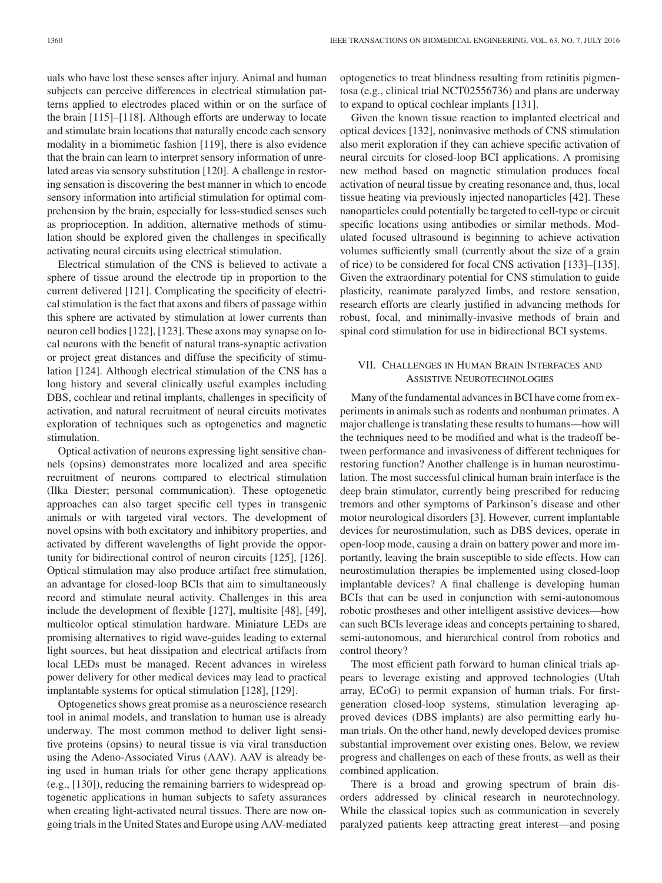uals who have lost these senses after injury. Animal and human subjects can perceive differences in electrical stimulation patterns applied to electrodes placed within or on the surface of the brain [115]–[118]. Although efforts are underway to locate and stimulate brain locations that naturally encode each sensory modality in a biomimetic fashion [119], there is also evidence that the brain can learn to interpret sensory information of unrelated areas via sensory substitution [120]. A challenge in restoring sensation is discovering the best manner in which to encode sensory information into artificial stimulation for optimal comprehension by the brain, especially for less-studied senses such as proprioception. In addition, alternative methods of stimulation should be explored given the challenges in specifically activating neural circuits using electrical stimulation.

Electrical stimulation of the CNS is believed to activate a sphere of tissue around the electrode tip in proportion to the current delivered [121]. Complicating the specificity of electrical stimulation is the fact that axons and fibers of passage within this sphere are activated by stimulation at lower currents than neuron cell bodies [122], [123]. These axons may synapse on local neurons with the benefit of natural trans-synaptic activation or project great distances and diffuse the specificity of stimulation [124]. Although electrical stimulation of the CNS has a long history and several clinically useful examples including DBS, cochlear and retinal implants, challenges in specificity of activation, and natural recruitment of neural circuits motivates exploration of techniques such as optogenetics and magnetic stimulation.

Optical activation of neurons expressing light sensitive channels (opsins) demonstrates more localized and area specific recruitment of neurons compared to electrical stimulation (Ilka Diester; personal communication). These optogenetic approaches can also target specific cell types in transgenic animals or with targeted viral vectors. The development of novel opsins with both excitatory and inhibitory properties, and activated by different wavelengths of light provide the opportunity for bidirectional control of neuron circuits [125], [126]. Optical stimulation may also produce artifact free stimulation, an advantage for closed-loop BCIs that aim to simultaneously record and stimulate neural activity. Challenges in this area include the development of flexible [127], multisite [48], [49], multicolor optical stimulation hardware. Miniature LEDs are promising alternatives to rigid wave-guides leading to external light sources, but heat dissipation and electrical artifacts from local LEDs must be managed. Recent advances in wireless power delivery for other medical devices may lead to practical implantable systems for optical stimulation [128], [129].

Optogenetics shows great promise as a neuroscience research tool in animal models, and translation to human use is already underway. The most common method to deliver light sensitive proteins (opsins) to neural tissue is via viral transduction using the Adeno-Associated Virus (AAV). AAV is already being used in human trials for other gene therapy applications (e.g., [130]), reducing the remaining barriers to widespread optogenetic applications in human subjects to safety assurances when creating light-activated neural tissues. There are now ongoing trials in the United States and Europe using AAV-mediated

optogenetics to treat blindness resulting from retinitis pigmentosa (e.g., clinical trial NCT02556736) and plans are underway to expand to optical cochlear implants [131].

Given the known tissue reaction to implanted electrical and optical devices [132], noninvasive methods of CNS stimulation also merit exploration if they can achieve specific activation of neural circuits for closed-loop BCI applications. A promising new method based on magnetic stimulation produces focal activation of neural tissue by creating resonance and, thus, local tissue heating via previously injected nanoparticles [42]. These nanoparticles could potentially be targeted to cell-type or circuit specific locations using antibodies or similar methods. Modulated focused ultrasound is beginning to achieve activation volumes sufficiently small (currently about the size of a grain of rice) to be considered for focal CNS activation [133]–[135]. Given the extraordinary potential for CNS stimulation to guide plasticity, reanimate paralyzed limbs, and restore sensation, research efforts are clearly justified in advancing methods for robust, focal, and minimally-invasive methods of brain and spinal cord stimulation for use in bidirectional BCI systems.

## VII. CHALLENGES IN HUMAN BRAIN INTERFACES AND ASSISTIVE NEUROTECHNOLOGIES

Many of the fundamental advances in BCI have come from experiments in animals such as rodents and nonhuman primates. A major challenge is translating these results to humans—how will the techniques need to be modified and what is the tradeoff between performance and invasiveness of different techniques for restoring function? Another challenge is in human neurostimulation. The most successful clinical human brain interface is the deep brain stimulator, currently being prescribed for reducing tremors and other symptoms of Parkinson's disease and other motor neurological disorders [3]. However, current implantable devices for neurostimulation, such as DBS devices, operate in open-loop mode, causing a drain on battery power and more importantly, leaving the brain susceptible to side effects. How can neurostimulation therapies be implemented using closed-loop implantable devices? A final challenge is developing human BCIs that can be used in conjunction with semi-autonomous robotic prostheses and other intelligent assistive devices—how can such BCIs leverage ideas and concepts pertaining to shared, semi-autonomous, and hierarchical control from robotics and control theory?

The most efficient path forward to human clinical trials appears to leverage existing and approved technologies (Utah array, ECoG) to permit expansion of human trials. For firstgeneration closed-loop systems, stimulation leveraging approved devices (DBS implants) are also permitting early human trials. On the other hand, newly developed devices promise substantial improvement over existing ones. Below, we review progress and challenges on each of these fronts, as well as their combined application.

There is a broad and growing spectrum of brain disorders addressed by clinical research in neurotechnology. While the classical topics such as communication in severely paralyzed patients keep attracting great interest—and posing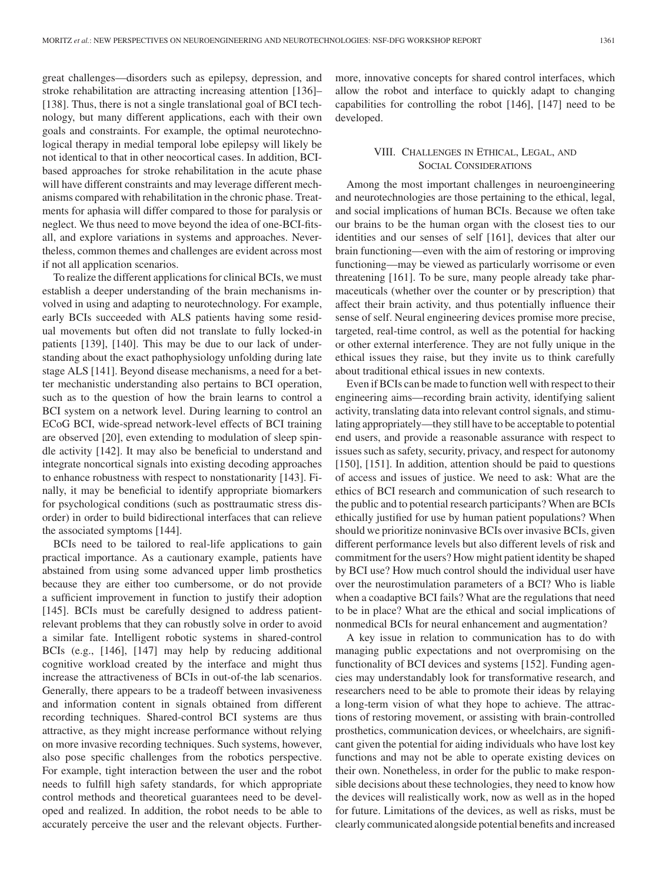great challenges—disorders such as epilepsy, depression, and stroke rehabilitation are attracting increasing attention [136]– [138]. Thus, there is not a single translational goal of BCI technology, but many different applications, each with their own goals and constraints. For example, the optimal neurotechnological therapy in medial temporal lobe epilepsy will likely be not identical to that in other neocortical cases. In addition, BCIbased approaches for stroke rehabilitation in the acute phase will have different constraints and may leverage different mechanisms compared with rehabilitation in the chronic phase. Treatments for aphasia will differ compared to those for paralysis or neglect. We thus need to move beyond the idea of one-BCI-fitsall, and explore variations in systems and approaches. Nevertheless, common themes and challenges are evident across most if not all application scenarios.

To realize the different applications for clinical BCIs, we must establish a deeper understanding of the brain mechanisms involved in using and adapting to neurotechnology. For example, early BCIs succeeded with ALS patients having some residual movements but often did not translate to fully locked-in patients [139], [140]. This may be due to our lack of understanding about the exact pathophysiology unfolding during late stage ALS [141]. Beyond disease mechanisms, a need for a better mechanistic understanding also pertains to BCI operation, such as to the question of how the brain learns to control a BCI system on a network level. During learning to control an ECoG BCI, wide-spread network-level effects of BCI training are observed [20], even extending to modulation of sleep spindle activity [142]. It may also be beneficial to understand and integrate noncortical signals into existing decoding approaches to enhance robustness with respect to nonstationarity [143]. Finally, it may be beneficial to identify appropriate biomarkers for psychological conditions (such as posttraumatic stress disorder) in order to build bidirectional interfaces that can relieve the associated symptoms [144].

BCIs need to be tailored to real-life applications to gain practical importance. As a cautionary example, patients have abstained from using some advanced upper limb prosthetics because they are either too cumbersome, or do not provide a sufficient improvement in function to justify their adoption [145]. BCIs must be carefully designed to address patientrelevant problems that they can robustly solve in order to avoid a similar fate. Intelligent robotic systems in shared-control BCIs (e.g., [146], [147] may help by reducing additional cognitive workload created by the interface and might thus increase the attractiveness of BCIs in out-of-the lab scenarios. Generally, there appears to be a tradeoff between invasiveness and information content in signals obtained from different recording techniques. Shared-control BCI systems are thus attractive, as they might increase performance without relying on more invasive recording techniques. Such systems, however, also pose specific challenges from the robotics perspective. For example, tight interaction between the user and the robot needs to fulfill high safety standards, for which appropriate control methods and theoretical guarantees need to be developed and realized. In addition, the robot needs to be able to accurately perceive the user and the relevant objects. Furthermore, innovative concepts for shared control interfaces, which allow the robot and interface to quickly adapt to changing capabilities for controlling the robot [146], [147] need to be developed.

## VIII. CHALLENGES IN ETHICAL, LEGAL, AND SOCIAL CONSIDERATIONS

Among the most important challenges in neuroengineering and neurotechnologies are those pertaining to the ethical, legal, and social implications of human BCIs. Because we often take our brains to be the human organ with the closest ties to our identities and our senses of self [161], devices that alter our brain functioning—even with the aim of restoring or improving functioning—may be viewed as particularly worrisome or even threatening [161]. To be sure, many people already take pharmaceuticals (whether over the counter or by prescription) that affect their brain activity, and thus potentially influence their sense of self. Neural engineering devices promise more precise, targeted, real-time control, as well as the potential for hacking or other external interference. They are not fully unique in the ethical issues they raise, but they invite us to think carefully about traditional ethical issues in new contexts.

Even if BCIs can be made to function well with respect to their engineering aims—recording brain activity, identifying salient activity, translating data into relevant control signals, and stimulating appropriately—they still have to be acceptable to potential end users, and provide a reasonable assurance with respect to issues such as safety, security, privacy, and respect for autonomy [150], [151]. In addition, attention should be paid to questions of access and issues of justice. We need to ask: What are the ethics of BCI research and communication of such research to the public and to potential research participants? When are BCIs ethically justified for use by human patient populations? When should we prioritize noninvasive BCIs over invasive BCIs, given different performance levels but also different levels of risk and commitment for the users? How might patient identity be shaped by BCI use? How much control should the individual user have over the neurostimulation parameters of a BCI? Who is liable when a coadaptive BCI fails? What are the regulations that need to be in place? What are the ethical and social implications of nonmedical BCIs for neural enhancement and augmentation?

A key issue in relation to communication has to do with managing public expectations and not overpromising on the functionality of BCI devices and systems [152]. Funding agencies may understandably look for transformative research, and researchers need to be able to promote their ideas by relaying a long-term vision of what they hope to achieve. The attractions of restoring movement, or assisting with brain-controlled prosthetics, communication devices, or wheelchairs, are significant given the potential for aiding individuals who have lost key functions and may not be able to operate existing devices on their own. Nonetheless, in order for the public to make responsible decisions about these technologies, they need to know how the devices will realistically work, now as well as in the hoped for future. Limitations of the devices, as well as risks, must be clearly communicated alongside potential benefits and increased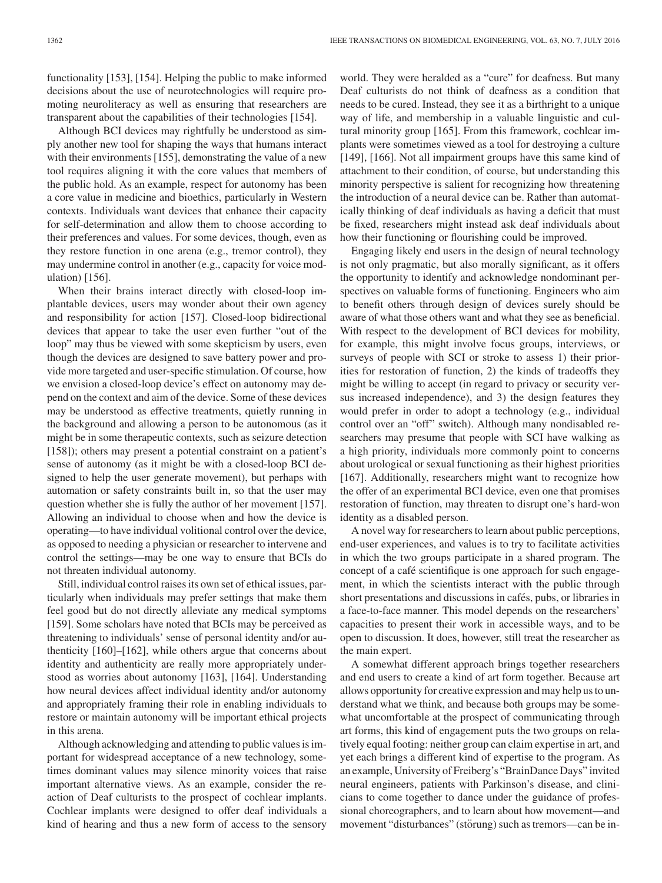functionality [153], [154]. Helping the public to make informed decisions about the use of neurotechnologies will require promoting neuroliteracy as well as ensuring that researchers are transparent about the capabilities of their technologies [154].

Although BCI devices may rightfully be understood as simply another new tool for shaping the ways that humans interact with their environments [155], demonstrating the value of a new tool requires aligning it with the core values that members of the public hold. As an example, respect for autonomy has been a core value in medicine and bioethics, particularly in Western contexts. Individuals want devices that enhance their capacity for self-determination and allow them to choose according to their preferences and values. For some devices, though, even as they restore function in one arena (e.g., tremor control), they may undermine control in another (e.g., capacity for voice modulation) [156].

When their brains interact directly with closed-loop implantable devices, users may wonder about their own agency and responsibility for action [157]. Closed-loop bidirectional devices that appear to take the user even further "out of the loop" may thus be viewed with some skepticism by users, even though the devices are designed to save battery power and provide more targeted and user-specific stimulation. Of course, how we envision a closed-loop device's effect on autonomy may depend on the context and aim of the device. Some of these devices may be understood as effective treatments, quietly running in the background and allowing a person to be autonomous (as it might be in some therapeutic contexts, such as seizure detection [158]); others may present a potential constraint on a patient's sense of autonomy (as it might be with a closed-loop BCI designed to help the user generate movement), but perhaps with automation or safety constraints built in, so that the user may question whether she is fully the author of her movement [157]. Allowing an individual to choose when and how the device is operating—to have individual volitional control over the device, as opposed to needing a physician or researcher to intervene and control the settings—may be one way to ensure that BCIs do not threaten individual autonomy.

Still, individual control raises its own set of ethical issues, particularly when individuals may prefer settings that make them feel good but do not directly alleviate any medical symptoms [159]. Some scholars have noted that BCIs may be perceived as threatening to individuals' sense of personal identity and/or authenticity [160]–[162], while others argue that concerns about identity and authenticity are really more appropriately understood as worries about autonomy [163], [164]. Understanding how neural devices affect individual identity and/or autonomy and appropriately framing their role in enabling individuals to restore or maintain autonomy will be important ethical projects in this arena.

Although acknowledging and attending to public values is important for widespread acceptance of a new technology, sometimes dominant values may silence minority voices that raise important alternative views. As an example, consider the reaction of Deaf culturists to the prospect of cochlear implants. Cochlear implants were designed to offer deaf individuals a kind of hearing and thus a new form of access to the sensory world. They were heralded as a "cure" for deafness. But many Deaf culturists do not think of deafness as a condition that needs to be cured. Instead, they see it as a birthright to a unique way of life, and membership in a valuable linguistic and cultural minority group [165]. From this framework, cochlear implants were sometimes viewed as a tool for destroying a culture [149], [166]. Not all impairment groups have this same kind of attachment to their condition, of course, but understanding this minority perspective is salient for recognizing how threatening the introduction of a neural device can be. Rather than automatically thinking of deaf individuals as having a deficit that must be fixed, researchers might instead ask deaf individuals about how their functioning or flourishing could be improved.

Engaging likely end users in the design of neural technology is not only pragmatic, but also morally significant, as it offers the opportunity to identify and acknowledge nondominant perspectives on valuable forms of functioning. Engineers who aim to benefit others through design of devices surely should be aware of what those others want and what they see as beneficial. With respect to the development of BCI devices for mobility, for example, this might involve focus groups, interviews, or surveys of people with SCI or stroke to assess 1) their priorities for restoration of function, 2) the kinds of tradeoffs they might be willing to accept (in regard to privacy or security versus increased independence), and 3) the design features they would prefer in order to adopt a technology (e.g., individual control over an "off" switch). Although many nondisabled researchers may presume that people with SCI have walking as a high priority, individuals more commonly point to concerns about urological or sexual functioning as their highest priorities [167]. Additionally, researchers might want to recognize how the offer of an experimental BCI device, even one that promises restoration of function, may threaten to disrupt one's hard-won identity as a disabled person.

A novel way for researchers to learn about public perceptions, end-user experiences, and values is to try to facilitate activities in which the two groups participate in a shared program. The concept of a cafe scientifique is one approach for such engage- ´ ment, in which the scientists interact with the public through short presentations and discussions in cafés, pubs, or libraries in a face-to-face manner. This model depends on the researchers' capacities to present their work in accessible ways, and to be open to discussion. It does, however, still treat the researcher as the main expert.

A somewhat different approach brings together researchers and end users to create a kind of art form together. Because art allows opportunity for creative expression and may help us to understand what we think, and because both groups may be somewhat uncomfortable at the prospect of communicating through art forms, this kind of engagement puts the two groups on relatively equal footing: neither group can claim expertise in art, and yet each brings a different kind of expertise to the program. As an example, University of Freiberg's "BrainDance Days" invited neural engineers, patients with Parkinson's disease, and clinicians to come together to dance under the guidance of professional choreographers, and to learn about how movement—and movement "disturbances" (störung) such as tremors—can be in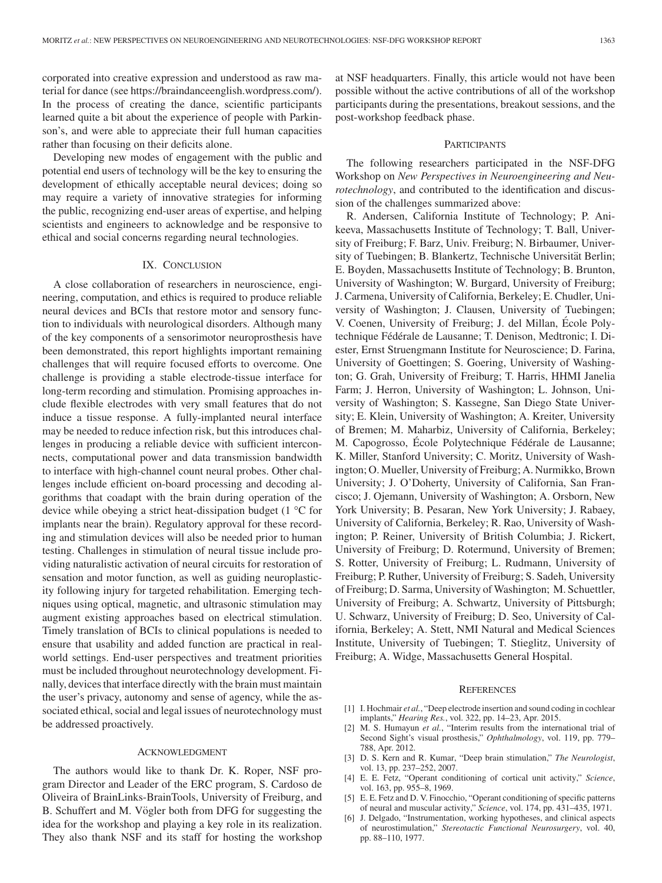corporated into creative expression and understood as raw material for dance (see https://braindanceenglish.wordpress.com/). In the process of creating the dance, scientific participants learned quite a bit about the experience of people with Parkinson's, and were able to appreciate their full human capacities rather than focusing on their deficits alone.

Developing new modes of engagement with the public and potential end users of technology will be the key to ensuring the development of ethically acceptable neural devices; doing so may require a variety of innovative strategies for informing the public, recognizing end-user areas of expertise, and helping scientists and engineers to acknowledge and be responsive to ethical and social concerns regarding neural technologies.

#### IX. CONCLUSION

A close collaboration of researchers in neuroscience, engineering, computation, and ethics is required to produce reliable neural devices and BCIs that restore motor and sensory function to individuals with neurological disorders. Although many of the key components of a sensorimotor neuroprosthesis have been demonstrated, this report highlights important remaining challenges that will require focused efforts to overcome. One challenge is providing a stable electrode-tissue interface for long-term recording and stimulation. Promising approaches include flexible electrodes with very small features that do not induce a tissue response. A fully-implanted neural interface may be needed to reduce infection risk, but this introduces challenges in producing a reliable device with sufficient interconnects, computational power and data transmission bandwidth to interface with high-channel count neural probes. Other challenges include efficient on-board processing and decoding algorithms that coadapt with the brain during operation of the device while obeying a strict heat-dissipation budget (1 °C for implants near the brain). Regulatory approval for these recording and stimulation devices will also be needed prior to human testing. Challenges in stimulation of neural tissue include providing naturalistic activation of neural circuits for restoration of sensation and motor function, as well as guiding neuroplasticity following injury for targeted rehabilitation. Emerging techniques using optical, magnetic, and ultrasonic stimulation may augment existing approaches based on electrical stimulation. Timely translation of BCIs to clinical populations is needed to ensure that usability and added function are practical in realworld settings. End-user perspectives and treatment priorities must be included throughout neurotechnology development. Finally, devices that interface directly with the brain must maintain the user's privacy, autonomy and sense of agency, while the associated ethical, social and legal issues of neurotechnology must be addressed proactively.

#### ACKNOWLEDGMENT

The authors would like to thank Dr. K. Roper, NSF program Director and Leader of the ERC program, S. Cardoso de Oliveira of BrainLinks-BrainTools, University of Freiburg, and B. Schuffert and M. Vögler both from DFG for suggesting the idea for the workshop and playing a key role in its realization. They also thank NSF and its staff for hosting the workshop at NSF headquarters. Finally, this article would not have been possible without the active contributions of all of the workshop participants during the presentations, breakout sessions, and the post-workshop feedback phase.

#### **PARTICIPANTS**

The following researchers participated in the NSF-DFG Workshop on *New Perspectives in Neuroengineering and Neurotechnology*, and contributed to the identification and discussion of the challenges summarized above:

R. Andersen, California Institute of Technology; P. Anikeeva, Massachusetts Institute of Technology; T. Ball, University of Freiburg; F. Barz, Univ. Freiburg; N. Birbaumer, University of Tuebingen; B. Blankertz, Technische Universität Berlin; E. Boyden, Massachusetts Institute of Technology; B. Brunton, University of Washington; W. Burgard, University of Freiburg; J. Carmena, University of California, Berkeley; E. Chudler, University of Washington; J. Clausen, University of Tuebingen; V. Coenen, University of Freiburg; J. del Millan, Ecole Poly- ´ technique Fédérale de Lausanne; T. Denison, Medtronic; I. Diester, Ernst Struengmann Institute for Neuroscience; D. Farina, University of Goettingen; S. Goering, University of Washington; G. Grah, University of Freiburg; T. Harris, HHMI Janelia Farm; J. Herron, University of Washington; L. Johnson, University of Washington; S. Kassegne, San Diego State University; E. Klein, University of Washington; A. Kreiter, University of Bremen; M. Maharbiz, University of California, Berkeley; M. Capogrosso, Ecole Polytechnique Fédérale de Lausanne; K. Miller, Stanford University; C. Moritz, University of Washington; O. Mueller, University of Freiburg; A. Nurmikko, Brown University; J. O'Doherty, University of California, San Francisco; J. Ojemann, University of Washington; A. Orsborn, New York University; B. Pesaran, New York University; J. Rabaey, University of California, Berkeley; R. Rao, University of Washington; P. Reiner, University of British Columbia; J. Rickert, University of Freiburg; D. Rotermund, University of Bremen; S. Rotter, University of Freiburg; L. Rudmann, University of Freiburg; P. Ruther, University of Freiburg; S. Sadeh, University of Freiburg; D. Sarma, University of Washington; M. Schuettler, University of Freiburg; A. Schwartz, University of Pittsburgh; U. Schwarz, University of Freiburg; D. Seo, University of California, Berkeley; A. Stett, NMI Natural and Medical Sciences Institute, University of Tuebingen; T. Stieglitz, University of Freiburg; A. Widge, Massachusetts General Hospital.

#### **REFERENCES**

- [1] I. Hochmair *et al.*, "Deep electrode insertion and sound coding in cochlear implants," *Hearing Res.*, vol. 322, pp. 14–23, Apr. 2015.
- [2] M. S. Humayun *et al.*, "Interim results from the international trial of Second Sight's visual prosthesis," *Ophthalmology*, vol. 119, pp. 779– 788, Apr. 2012.
- [3] D. S. Kern and R. Kumar, "Deep brain stimulation," *The Neurologist*, vol. 13, pp. 237–252, 2007.
- [4] E. E. Fetz, "Operant conditioning of cortical unit activity," *Science*, vol. 163, pp. 955–8, 1969.
- [5] E. E. Fetz and D. V. Finocchio, "Operant conditioning of specific patterns of neural and muscular activity," *Science*, vol. 174, pp. 431–435, 1971.
- [6] J. Delgado, "Instrumentation, working hypotheses, and clinical aspects of neurostimulation," *Stereotactic Functional Neurosurgery*, vol. 40, pp. 88–110, 1977.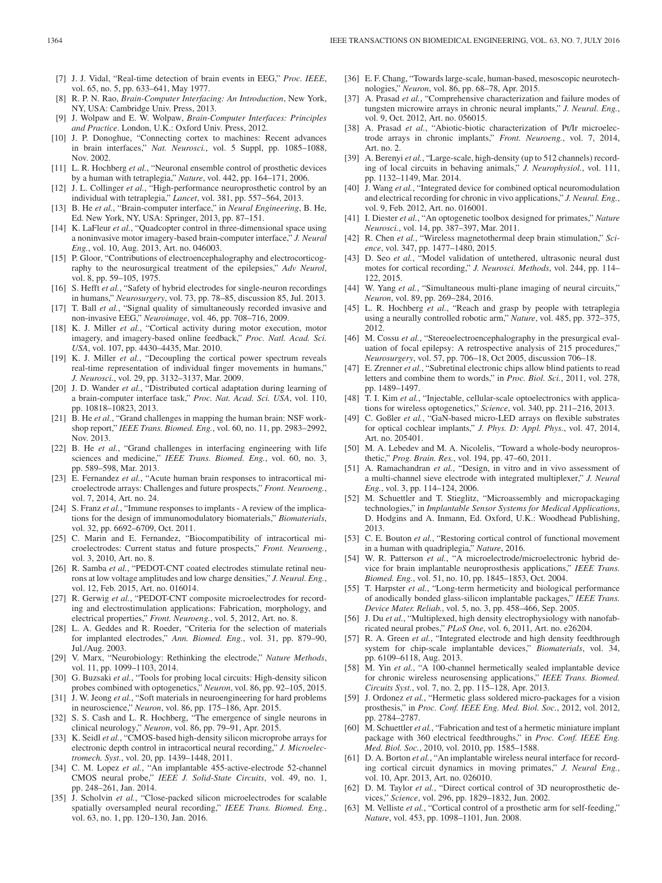- [7] J. J. Vidal, "Real-time detection of brain events in EEG," *Proc. IEEE*, vol. 65, no. 5, pp. 633–641, May 1977.
- [8] R. P. N. Rao, *Brain-Computer Interfacing: An Introduction*, New York, NY, USA: Cambridge Univ. Press, 2013.
- [9] J. Wolpaw and E. W. Wolpaw, *Brain-Computer Interfaces: Principles and Practice*. London, U.K.: Oxford Univ. Press, 2012.
- [10] J. P. Donoghue, "Connecting cortex to machines: Recent advances in brain interfaces," *Nat. Neurosci.*, vol. 5 Suppl, pp. 1085–1088, Nov. 2002.
- [11] L. R. Hochberg *et al.*, "Neuronal ensemble control of prosthetic devices by a human with tetraplegia," *Nature*, vol. 442, pp. 164–171, 2006.
- [12] J. L. Collinger et al., "High-performance neuroprosthetic control by an individual with tetraplegia," *Lancet*, vol. 381, pp. 557–564, 2013.
- [13] B. He *et al.*, "Brain-computer interface," in *Neural Engineering*, B. He, Ed. New York, NY, USA: Springer, 2013, pp. 87–151.
- [14] K. LaFleur *et al.*, "Quadcopter control in three-dimensional space using a noninvasive motor imagery-based brain-computer interface," *J. Neural Eng.*, vol. 10, Aug. 2013, Art. no. 046003.
- [15] P. Gloor, "Contributions of electroencephalography and electrocorticography to the neurosurgical treatment of the epilepsies," *Adv Neurol*, vol. 8, pp. 59–105, 1975.
- [16] S. Hefft *et al.*, "Safety of hybrid electrodes for single-neuron recordings in humans," *Neurosurgery*, vol. 73, pp. 78–85, discussion 85, Jul. 2013.
- [17] T. Ball *et al.*, "Signal quality of simultaneously recorded invasive and non-invasive EEG," *Neuroimage*, vol. 46, pp. 708–716, 2009.
- [18] K. J. Miller et al., "Cortical activity during motor execution, motor imagery, and imagery-based online feedback," *Proc. Natl. Acad. Sci. USA*, vol. 107, pp. 4430–4435, Mar. 2010.
- [19] K. J. Miller *et al.*, "Decoupling the cortical power spectrum reveals real-time representation of individual finger movements in humans," *J. Neurosci.*, vol. 29, pp. 3132–3137, Mar. 2009.
- [20] J. D. Wander *et al.*, "Distributed cortical adaptation during learning of a brain-computer interface task," *Proc. Nat. Acad. Sci. USA*, vol. 110, pp. 10818–10823, 2013.
- [21] B. He *et al.*, "Grand challenges in mapping the human brain: NSF workshop report," *IEEE Trans. Biomed. Eng.*, vol. 60, no. 11, pp. 2983–2992, Nov. 2013.
- [22] B. He *et al.*, "Grand challenges in interfacing engineering with life sciences and medicine," *IEEE Trans. Biomed. Eng.*, vol. 60, no. 3, pp. 589–598, Mar. 2013.
- [23] E. Fernandez et al., "Acute human brain responses to intracortical microelectrode arrays: Challenges and future prospects," *Front. Neuroeng.*, vol. 7, 2014, Art. no. 24.
- [24] S. Franz *et al.*, "Immune responses to implants A review of the implications for the design of immunomodulatory biomaterials," *Biomaterials*, vol. 32, pp. 6692–6709, Oct. 2011.
- [25] C. Marin and E. Fernandez, "Biocompatibility of intracortical microelectrodes: Current status and future prospects," *Front. Neuroeng.*, vol. 3, 2010, Art. no. 8.
- [26] R. Samba et al., "PEDOT-CNT coated electrodes stimulate retinal neurons at low voltage amplitudes and low charge densities," *J. Neural. Eng.*, vol. 12, Feb. 2015, Art. no. 016014.
- [27] R. Gerwig et al., "PEDOT-CNT composite microelectrodes for recording and electrostimulation applications: Fabrication, morphology, and electrical properties," *Front. Neuroeng.*, vol. 5, 2012, Art. no. 8.
- [28] L. A. Geddes and R. Roeder, "Criteria for the selection of materials for implanted electrodes," *Ann. Biomed. Eng.*, vol. 31, pp. 879–90, Jul./Aug. 2003.
- [29] V. Marx, "Neurobiology: Rethinking the electrode," *Nature Methods*, vol. 11, pp. 1099–1103, 2014.
- [30] G. Buzsaki *et al.*, "Tools for probing local circuits: High-density silicon probes combined with optogenetics," *Neuron*, vol. 86, pp. 92–105, 2015.
- [31] J. W. Jeong *et al.*, "Soft materials in neuroengineering for hard problems in neuroscience," *Neuron*, vol. 86, pp. 175–186, Apr. 2015.
- [32] S. S. Cash and L. R. Hochberg, "The emergence of single neurons in clinical neurology," *Neuron*, vol. 86, pp. 79–91, Apr. 2015.
- [33] K. Seidl *et al.*, "CMOS-based high-density silicon microprobe arrays for electronic depth control in intracortical neural recording," *J. Microelectromech. Syst.*, vol. 20, pp. 1439–1448, 2011.
- [34] C. M. Lopez et al., "An implantable 455-active-electrode 52-channel CMOS neural probe," *IEEE J. Solid-State Circuits*, vol. 49, no. 1, pp. 248–261, Jan. 2014.
- [35] J. Scholvin et al., "Close-packed silicon microelectrodes for scalable spatially oversampled neural recording," *IEEE Trans. Biomed. Eng.*, vol. 63, no. 1, pp. 120–130, Jan. 2016.
- [36] E. F. Chang, "Towards large-scale, human-based, mesoscopic neurotechnologies," *Neuron*, vol. 86, pp. 68–78, Apr. 2015.
- [37] A. Prasad *et al.*, "Comprehensive characterization and failure modes of tungsten microwire arrays in chronic neural implants," *J. Neural. Eng.*, vol. 9, Oct. 2012, Art. no. 056015.
- [38] A. Prasad et al., "Abiotic-biotic characterization of Pt/Ir microelectrode arrays in chronic implants," *Front. Neuroeng.*, vol. 7, 2014, Art. no. 2.
- [39] A. Berenyi et al., "Large-scale, high-density (up to 512 channels) recording of local circuits in behaving animals," *J. Neurophysiol.*, vol. 111, pp. 1132–1149, Mar. 2014.
- [40] J. Wang *et al.*, "Integrated device for combined optical neuromodulation and electrical recording for chronic in vivo applications," *J. Neural. Eng.*, vol. 9, Feb. 2012, Art. no. 016001.
- [41] I. Diester *et al.*, "An optogenetic toolbox designed for primates," *Nature Neurosci.*, vol. 14, pp. 387–397, Mar. 2011.
- [42] R. Chen *et al.*, "Wireless magnetothermal deep brain stimulation," *Science*, vol. 347, pp. 1477–1480, 2015.
- [43] D. Seo et al., "Model validation of untethered, ultrasonic neural dust motes for cortical recording," *J. Neurosci. Methods*, vol. 244, pp. 114– 122, 2015.
- [44] W. Yang *et al.*, "Simultaneous multi-plane imaging of neural circuits," *Neuron*, vol. 89, pp. 269–284, 2016.
- [45] L. R. Hochberg et al., "Reach and grasp by people with tetraplegia using a neurally controlled robotic arm," *Nature*, vol. 485, pp. 372–375, 2012.
- [46] M. Cossu et al., "Stereoelectroencephalography in the presurgical evaluation of focal epilepsy: A retrospective analysis of 215 procedures," *Neurosurgery*, vol. 57, pp. 706–18, Oct 2005, discussion 706–18.
- [47] E. Zrenner et al., "Subretinal electronic chips allow blind patients to read letters and combine them to words," in *Proc. Biol. Sci.*, 2011, vol. 278, pp. 1489–1497.
- [48] T. I. Kim et al., "Injectable, cellular-scale optoelectronics with applications for wireless optogenetics," *Science*, vol. 340, pp. 211–216, 2013.
- [49] C. Goßler *et al.*, "GaN-based micro-LED arrays on flexible substrates for optical cochlear implants," *J. Phys. D: Appl. Phys.*, vol. 47, 2014, Art. no. 205401.
- [50] M. A. Lebedev and M. A. Nicolelis, "Toward a whole-body neuroprosthetic," *Prog. Brain. Res.*, vol. 194, pp. 47–60, 2011.
- [51] A. Ramachandran *et al.*, "Design, in vitro and in vivo assessment of a multi-channel sieve electrode with integrated multiplexer," *J. Neural Eng.*, vol. 3, pp. 114–124, 2006.
- [52] M. Schuettler and T. Stieglitz, "Microassembly and micropackaging technologies," in *Implantable Sensor Systems for Medical Applications*, D. Hodgins and A. Inmann, Ed. Oxford, U.K.: Woodhead Publishing, 2013.
- [53] C. E. Bouton et al., "Restoring cortical control of functional movement in a human with quadriplegia," *Nature*, 2016.
- [54] W. R. Patterson *et al.*, "A microelectrode/microelectronic hybrid device for brain implantable neuroprosthesis applications," *IEEE Trans. Biomed. Eng.*, vol. 51, no. 10, pp. 1845–1853, Oct. 2004.
- [55] T. Harpster et al., "Long-term hermeticity and biological performance of anodically bonded glass-silicon implantable packages," *IEEE Trans. Device Mater. Reliab.*, vol. 5, no. 3, pp. 458–466, Sep. 2005.
- [56] J. Du et al., "Multiplexed, high density electrophysiology with nanofabricated neural probes," *PLoS One*, vol. 6, 2011, Art. no. e26204.
- [57] R. A. Green *et al.*, "Integrated electrode and high density feedthrough system for chip-scale implantable devices," *Biomaterials*, vol. 34, pp. 6109–6118, Aug. 2013.
- [58] M. Yin et al., "A 100-channel hermetically sealed implantable device for chronic wireless neurosensing applications," *IEEE Trans. Biomed. Circuits Syst.*, vol. 7, no. 2, pp. 115–128, Apr. 2013.
- [59] J. Ordonez *et al.*, "Hermetic glass soldered micro-packages for a vision prosthesis," in *Proc. Conf. IEEE Eng. Med. Biol. Soc.*, 2012, vol. 2012, pp. 2784–2787.
- [60] M. Schuettler *et al.*, "Fabrication and test of a hermetic miniature implant package with 360 electrical feedthroughs," in *Proc. Conf. IEEE Eng. Med. Biol. Soc.*, 2010, vol. 2010, pp. 1585–1588.
- [61] D. A. Borton *et al.*, "An implantable wireless neural interface for recording cortical circuit dynamics in moving primates," *J. Neural Eng.*, vol. 10, Apr. 2013, Art. no. 026010.
- [62] D. M. Taylor *et al.*, "Direct cortical control of 3D neuroprosthetic devices," *Science*, vol. 296, pp. 1829–1832, Jun. 2002.
- [63] M. Velliste et al., "Cortical control of a prosthetic arm for self-feeding," *Nature*, vol. 453, pp. 1098–1101, Jun. 2008.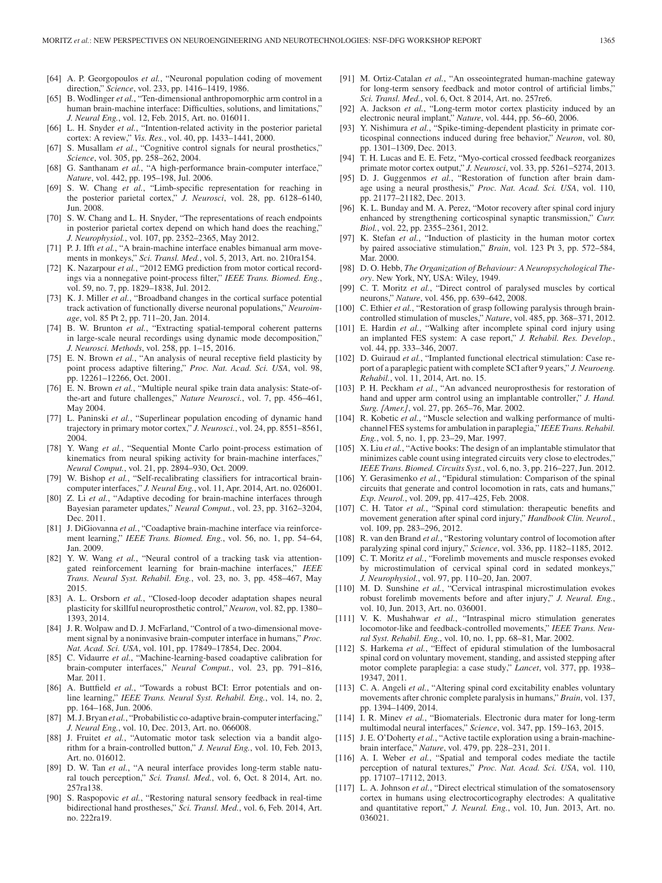- [64] A. P. Georgopoulos *et al.*, "Neuronal population coding of movement direction," *Science*, vol. 233, pp. 1416–1419, 1986.
- [65] B. Wodlinger *et al.*, "Ten-dimensional anthropomorphic arm control in a human brain-machine interface: Difficulties, solutions, and limitations," *J. Neural Eng.*, vol. 12, Feb. 2015, Art. no. 016011.
- [66] L. H. Snyder *et al.*, "Intention-related activity in the posterior parietal cortex: A review," *Vis. Res.*, vol. 40, pp. 1433–1441, 2000.
- [67] S. Musallam *et al.*, "Cognitive control signals for neural prosthetics," *Science*, vol. 305, pp. 258–262, 2004.
- [68] G. Santhanam et al., "A high-performance brain-computer interface," *Nature*, vol. 442, pp. 195–198, Jul. 2006.
- [69] S. W. Chang *et al.*, "Limb-specific representation for reaching in the posterior parietal cortex," *J. Neurosci*, vol. 28, pp. 6128–6140, Jun. 2008.
- [70] S. W. Chang and L. H. Snyder, "The representations of reach endpoints in posterior parietal cortex depend on which hand does the reaching," *J. Neurophysiol.*, vol. 107, pp. 2352–2365, May 2012.
- [71] P. J. Ifft *et al.*, "A brain-machine interface enables bimanual arm movements in monkeys," *Sci. Transl. Med.*, vol. 5, 2013, Art. no. 210ra154.
- [72] K. Nazarpour *et al.*, "2012 EMG prediction from motor cortical recordings via a nonnegative point-process filter," *IEEE Trans. Biomed. Eng.*, vol. 59, no. 7, pp. 1829–1838, Jul. 2012.
- [73] K. J. Miller *et al.*, "Broadband changes in the cortical surface potential track activation of functionally diverse neuronal populations," *Neuroimage*, vol. 85 Pt 2, pp. 711–20, Jan. 2014.
- [74] B. W. Brunton *et al.*, "Extracting spatial-temporal coherent patterns in large-scale neural recordings using dynamic mode decomposition," *J. Neurosci. Methods*, vol. 258, pp. 1–15, 2016.
- [75] E. N. Brown *et al.*, "An analysis of neural receptive field plasticity by point process adaptive filtering," *Proc. Nat. Acad. Sci. USA*, vol. 98, pp. 12261–12266, Oct. 2001.
- [76] E. N. Brown *et al.*, "Multiple neural spike train data analysis: State-ofthe-art and future challenges," *Nature Neurosci.*, vol. 7, pp. 456–461, May 2004.
- [77] L. Paninski *et al.*, "Superlinear population encoding of dynamic hand trajectory in primary motor cortex," *J. Neurosci.*, vol. 24, pp. 8551–8561, 2004.
- [78] Y. Wang *et al.*, "Sequential Monte Carlo point-process estimation of kinematics from neural spiking activity for brain-machine interfaces," *Neural Comput.*, vol. 21, pp. 2894–930, Oct. 2009.
- [79] W. Bishop *et al.*, "Self-recalibrating classifiers for intracortical braincomputer interfaces," *J. Neural Eng.*, vol. 11, Apr. 2014, Art. no. 026001.
- [80] Z. Li et al., "Adaptive decoding for brain-machine interfaces through Bayesian parameter updates," *Neural Comput.*, vol. 23, pp. 3162–3204, Dec. 2011.
- [81] J. DiGiovanna *et al.*, "Coadaptive brain-machine interface via reinforcement learning," *IEEE Trans. Biomed. Eng.*, vol. 56, no. 1, pp. 54–64, Jan. 2009.
- [82] Y. W. Wang *et al.*, "Neural control of a tracking task via attentiongated reinforcement learning for brain-machine interfaces," *IEEE Trans. Neural Syst. Rehabil. Eng.*, vol. 23, no. 3, pp. 458–467, May 2015.
- [83] A. L. Orsborn *et al.*, "Closed-loop decoder adaptation shapes neural plasticity for skillful neuroprosthetic control," *Neuron*, vol. 82, pp. 1380– 1393, 2014.
- [84] J. R. Wolpaw and D. J. McFarland, "Control of a two-dimensional movement signal by a noninvasive brain-computer interface in humans," *Proc. Nat. Acad. Sci. USA*, vol. 101, pp. 17849–17854, Dec. 2004.
- [85] C. Vidaurre *et al.*, "Machine-learning-based coadaptive calibration for brain-computer interfaces," *Neural Comput.*, vol. 23, pp. 791–816, Mar. 2011.
- [86] A. Buttfield *et al.*, "Towards a robust BCI: Error potentials and online learning," *IEEE Trans. Neural Syst. Rehabil. Eng.*, vol. 14, no. 2, pp. 164–168, Jun. 2006.
- [87] M. J. Bryan et al., "Probabilistic co-adaptive brain-computer interfacing," *J. Neural Eng.*, vol. 10, Dec. 2013, Art. no. 066008.
- [88] J. Fruitet *et al.*, "Automatic motor task selection via a bandit algorithm for a brain-controlled button," *J. Neural Eng.*, vol. 10, Feb. 2013, Art. no. 016012.
- [89] D. W. Tan et al., "A neural interface provides long-term stable natural touch perception," *Sci. Transl. Med.*, vol. 6, Oct. 8 2014, Art. no. 257ra138.
- [90] S. Raspopovic *et al.*, "Restoring natural sensory feedback in real-time bidirectional hand prostheses," *Sci. Transl. Med.*, vol. 6, Feb. 2014, Art. no. 222ra19.
- [91] M. Ortiz-Catalan *et al.*, "An osseointegrated human-machine gateway for long-term sensory feedback and motor control of artificial limbs," *Sci. Transl. Med.*, vol. 6, Oct. 8 2014, Art. no. 257re6.
- [92] A. Jackson *et al.*, "Long-term motor cortex plasticity induced by an electronic neural implant," *Nature*, vol. 444, pp. 56–60, 2006.
- [93] Y. Nishimura *et al.*, "Spike-timing-dependent plasticity in primate corticospinal connections induced during free behavior," *Neuron*, vol. 80, pp. 1301–1309, Dec. 2013.
- [94] T. H. Lucas and E. E. Fetz, "Myo-cortical crossed feedback reorganizes primate motor cortex output," *J. Neurosci*, vol. 33, pp. 5261–5274, 2013.
- [95] D. J. Guggenmos *et al.*, "Restoration of function after brain damage using a neural prosthesis," *Proc. Nat. Acad. Sci. USA*, vol. 110, pp. 21177–21182, Dec. 2013.
- [96] K. L. Bunday and M. A. Perez, "Motor recovery after spinal cord injury enhanced by strengthening corticospinal synaptic transmission," *Curr. Biol.*, vol. 22, pp. 2355–2361, 2012.
- [97] K. Stefan *et al.*, "Induction of plasticity in the human motor cortex by paired associative stimulation," *Brain*, vol. 123 Pt 3, pp. 572–584, Mar. 2000.
- [98] D. O. Hebb, *The Organization of Behaviour: A Neuropsychological Theory*. New York, NY, USA: Wiley, 1949.
- [99] C. T. Moritz *et al.*, "Direct control of paralysed muscles by cortical neurons," *Nature*, vol. 456, pp. 639–642, 2008.
- [100] C. Ethier et al., "Restoration of grasp following paralysis through braincontrolled stimulation of muscles," *Nature*, vol. 485, pp. 368–371, 2012.
- [101] E. Hardin et al., "Walking after incomplete spinal cord injury using an implanted FES system: A case report," *J. Rehabil. Res. Develop.*, vol. 44, pp. 333–346, 2007.
- [102] D. Guiraud et al., "Implanted functional electrical stimulation: Case report of a paraplegic patient with complete SCI after 9 years," *J. Neuroeng. Rehabil.*, vol. 11, 2014, Art. no. 15.
- [103] P. H. Peckham *et al.*, "An advanced neuroprosthesis for restoration of hand and upper arm control using an implantable controller," *J. Hand. Surg. [Amer.]*, vol. 27, pp. 265–76, Mar. 2002.
- [104] R. Kobetic et al., "Muscle selection and walking performance of multichannel FES systems for ambulation in paraplegia," *IEEE Trans. Rehabil. Eng.*, vol. 5, no. 1, pp. 23–29, Mar. 1997.
- [105] X. Liu *et al.*, "Active books: The design of an implantable stimulator that minimizes cable count using integrated circuits very close to electrodes, *IEEE Trans. Biomed. Circuits Syst.*, vol. 6, no. 3, pp. 216–227, Jun. 2012.
- [106] Y. Gerasimenko *et al.*, "Epidural stimulation: Comparison of the spinal circuits that generate and control locomotion in rats, cats and humans," *Exp. Neurol.*, vol. 209, pp. 417–425, Feb. 2008.
- [107] C. H. Tator et al., "Spinal cord stimulation: therapeutic benefits and movement generation after spinal cord injury," *Handbook Clin. Neurol.*, vol. 109, pp. 283–296, 2012.
- [108] R. van den Brand *et al.*, "Restoring voluntary control of locomotion after paralyzing spinal cord injury," *Science*, vol. 336, pp. 1182–1185, 2012.
- [109] C. T. Moritz et al., "Forelimb movements and muscle responses evoked by microstimulation of cervical spinal cord in sedated monkeys," *J. Neurophysiol.*, vol. 97, pp. 110–20, Jan. 2007.
- [110] M. D. Sunshine *et al.*, "Cervical intraspinal microstimulation evokes robust forelimb movements before and after injury," *J. Neural. Eng.*, vol. 10, Jun. 2013, Art. no. 036001.
- [111] V. K. Mushahwar *et al.*, "Intraspinal micro stimulation generates locomotor-like and feedback-controlled movements," *IEEE Trans. Neural Syst. Rehabil. Eng.*, vol. 10, no. 1, pp. 68–81, Mar. 2002.
- [112] S. Harkema *et al.*, "Effect of epidural stimulation of the lumbosacral spinal cord on voluntary movement, standing, and assisted stepping after motor complete paraplegia: a case study," *Lancet*, vol. 377, pp. 1938– 19347, 2011.
- [113] C. A. Angeli et al., "Altering spinal cord excitability enables voluntary movements after chronic complete paralysis in humans," *Brain*, vol. 137, pp. 1394–1409, 2014.
- [114] I. R. Minev *et al.*, "Biomaterials. Electronic dura mater for long-term multimodal neural interfaces," *Science*, vol. 347, pp. 159–163, 2015.
- [115] J. E. O'Doherty *et al.*, "Active tactile exploration using a brain-machinebrain interface," *Nature*, vol. 479, pp. 228–231, 2011.
- [116] A. I. Weber *et al.*, "Spatial and temporal codes mediate the tactile perception of natural textures," *Proc. Nat. Acad. Sci. USA*, vol. 110, pp. 17107–17112, 2013.
- [117] L. A. Johnson et al., "Direct electrical stimulation of the somatosensory cortex in humans using electrocorticography electrodes: A qualitative and quantitative report," *J. Neural. Eng.*, vol. 10, Jun. 2013, Art. no. 036021.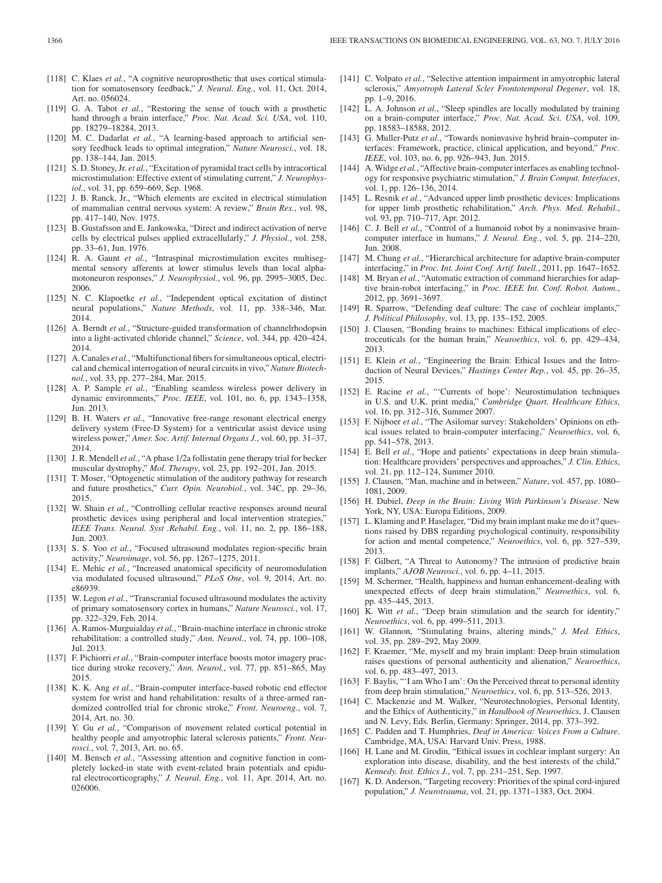- [118] C. Klaes et al., "A cognitive neuroprosthetic that uses cortical stimulation for somatosensory feedback," *J. Neural. Eng.*, vol. 11, Oct. 2014, Art. no. 056024.
- [119] G. A. Tabot *et al.*, "Restoring the sense of touch with a prosthetic hand through a brain interface," *Proc. Nat. Acad. Sci. USA*, vol. 110, pp. 18279–18284, 2013.
- [120] M. C. Dadarlat *et al.*, "A learning-based approach to artificial sensory feedback leads to optimal integration," *Nature Neurosci.*, vol. 18, pp. 138–144, Jan. 2015.
- [121] S. D. Stoney, Jr. *et al.*, "Excitation of pyramidal tract cells by intracortical microstimulation: Effective extent of stimulating current," *J. Neurophysiol.*, vol. 31, pp. 659–669, Sep. 1968.
- [122] J. B. Ranck, Jr., "Which elements are excited in electrical stimulation of mammalian central nervous system: A review," *Brain Res.*, vol. 98, pp. 417–140, Nov. 1975.
- [123] B. Gustafsson and E. Jankowska, "Direct and indirect activation of nerve cells by electrical pulses applied extracellularly," *J. Physiol.*, vol. 258, pp. 33–61, Jun. 1976.
- [124] R. A. Gaunt *et al.*, "Intraspinal microstimulation excites multisegmental sensory afferents at lower stimulus levels than local alphamotoneuron responses," *J. Neurophysiol.*, vol. 96, pp. 2995–3005, Dec. 2006.
- [125] N. C. Klapoetke *et al.*, "Independent optical excitation of distinct neural populations," *Nature Methods*, vol. 11, pp. 338–346, Mar. 2014.
- [126] A. Berndt et al., "Structure-guided transformation of channelrhodopsin into a light-activated chloride channel," *Science*, vol. 344, pp. 420–424, 2014.
- [127] A. Canales *et al.*, "Multifunctional fibers for simultaneous optical, electrical and chemical interrogation of neural circuits in vivo," *Nature Biotechnol.*, vol. 33, pp. 277–284, Mar. 2015.
- [128] A. P. Sample *et al.*, "Enabling seamless wireless power delivery in dynamic environments," *Proc. IEEE*, vol. 101, no. 6, pp. 1343–1358, Jun. 2013.
- [129] B. H. Waters et al., "Innovative free-range resonant electrical energy delivery system (Free-D System) for a ventricular assist device using wireless power," *Amer. Soc. Artif. Internal Organs J.*, vol. 60, pp. 31–37, 2014.
- [130] J. R. Mendell *et al.*, "A phase 1/2a follistatin gene therapy trial for becker muscular dystrophy," *Mol. Therapy*, vol. 23, pp. 192–201, Jan. 2015.
- [131] T. Moser, "Optogenetic stimulation of the auditory pathway for research and future prosthetics," *Curr. Opin. Neurobiol.*, vol. 34C, pp. 29–36, 2015.
- [132] W. Shain *et al.*, "Controlling cellular reactive responses around neural prosthetic devices using peripheral and local intervention strategies," *IEEE Trans. Neural. Syst .Rehabil. Eng.*, vol. 11, no. 2, pp. 186–188, Jun. 2003.
- [133] S. S. Yoo *et al.*, "Focused ultrasound modulates region-specific brain activity," *Neuroimage*, vol. 56, pp. 1267–1275, 2011.
- [134] E. Mehic *et al.*, "Increased anatomical specificity of neuromodulation via modulated focused ultrasound," *PLoS One*, vol. 9, 2014, Art. no. e86939.
- [135] W. Legon *et al.*, "Transcranial focused ultrasound modulates the activity of primary somatosensory cortex in humans," *Nature Neurosci.*, vol. 17, pp. 322–329, Feb. 2014.
- [136] A. Ramos-Murguialday et al., "Brain-machine interface in chronic stroke rehabilitation: a controlled study," *Ann. Neurol.*, vol. 74, pp. 100–108, Jul. 2013.
- [137] F. Pichiorri et al., "Brain-computer interface boosts motor imagery practice during stroke recovery," *Ann. Neurol.*, vol. 77, pp. 851–865, May 2015.
- [138] K. K. Ang *et al.*, "Brain-computer interface-based robotic end effector system for wrist and hand rehabilitation: results of a three-armed randomized controlled trial for chronic stroke," *Front. Neuroeng.*, vol. 7, 2014, Art. no. 30.
- [139] Y. Gu et al., "Comparison of movement related cortical potential in healthy people and amyotrophic lateral sclerosis patients," *Front. Neurosci.*, vol. 7, 2013, Art. no. 65.
- [140] M. Bensch et al., "Assessing attention and cognitive function in completely locked-in state with event-related brain potentials and epidural electrocorticography," *J. Neural. Eng.*, vol. 11, Apr. 2014, Art. no. 026006.
- [141] C. Volpato *et al.*, "Selective attention impairment in amyotrophic lateral sclerosis," *Amyotroph Lateral Scler Frontotemporal Degener*, vol. 18, pp. 1–9, 2016.
- [142] L. A. Johnson *et al.*, "Sleep spindles are locally modulated by training on a brain-computer interface," *Proc. Nat. Acad. Sci. USA*, vol. 109, pp. 18583–18588, 2012.
- [143] G. Muller-Putz *et al.*, "Towards noninvasive hybrid brain–computer interfaces: Framework, practice, clinical application, and beyond," *Proc. IEEE*, vol. 103, no. 6, pp. 926–943, Jun. 2015.
- [144] A. Widge *et al.*, "Affective brain-computer interfaces as enabling technology for responsive psychiatric stimulation," *J. Brain Comput. Interfaces*, vol. 1, pp. 126–136, 2014.
- [145] L. Resnik *et al.*, "Advanced upper limb prosthetic devices: Implications for upper limb prosthetic rehabilitation," *Arch. Phys. Med. Rehabil.*, vol. 93, pp. 710–717, Apr. 2012.
- [146] C. J. Bell *et al.*, "Control of a humanoid robot by a noninvasive braincomputer interface in humans," *J. Neural. Eng.*, vol. 5, pp. 214–220, Jun. 2008.
- [147] M. Chung et al., "Hierarchical architecture for adaptive brain-computer interfacing," in *Proc. Int. Joint Conf. Artif. Intell.*, 2011, pp. 1647–1652.
- [148] M. Bryan *et al.*, "Automatic extraction of command hierarchies for adaptive brain-robot interfacing," in *Proc. IEEE Int. Conf. Robot. Autom.*, 2012, pp. 3691–3697.
- [149] R. Sparrow, "Defending deaf culture: The case of cochlear implants," *J. Political Philosophy*, vol. 13, pp. 135–152, 2005.
- [150] J. Clausen, "Bonding brains to machines: Ethical implications of electroceuticals for the human brain," *Neuroethics*, vol. 6, pp. 429–434, 2013.
- [151] E. Klein *et al.*, "Engineering the Brain: Ethical Issues and the Introduction of Neural Devices," *Hastings Center Rep.*, vol. 45, pp. 26–35, 2015.
- [152] E. Racine et al., "'Currents of hope': Neurostimulation techniques in U.S. and U.K. print media," *Cambridge Quart. Healthcare Ethics*, vol. 16, pp. 312–316, Summer 2007.
- [153] F. Nijboer *et al.*, "The Asilomar survey: Stakeholders' Opinions on ethical issues related to brain-computer interfacing," *Neuroethics*, vol. 6, pp. 541–578, 2013.
- [154] E. Bell *et al.*, "Hope and patients' expectations in deep brain stimulation: Healthcare providers' perspectives and approaches," *J. Clin. Ethics*, vol. 21, pp. 112–124, Summer 2010.
- [155] J. Clausen, "Man, machine and in between," *Nature*, vol. 457, pp. 1080– 1081, 2009.
- [156] H. Dubiel, *Deep in the Brain: Living With Parkinson's Disease*. New York, NY, USA: Europa Editions, 2009.
- [157] L. Klaming and P. Haselager, "Did my brain implant make me do it? questions raised by DBS regarding psychological continuity, responsibility for action and mental competence," *Neuroethics*, vol. 6, pp. 527–539, 2013.
- [158] F. Gilbert, "A Threat to Autonomy? The intrusion of predictive brain implants," *AJOB Neurosci.*, vol. 6, pp. 4–11, 2015.
- [159] M. Schermer, "Health, happiness and human enhancement-dealing with unexpected effects of deep brain stimulation," *Neuroethics*, vol. 6, pp. 435–445, 2013.
- [160] K. Witt *et al.*, "Deep brain stimulation and the search for identity," *Neuroethics*, vol. 6, pp. 499–511, 2013.
- [161] W. Glannon, "Stimulating brains, altering minds," *J. Med. Ethics*, vol. 35, pp. 289–292, May 2009.
- [162] F. Kraemer, "Me, myself and my brain implant: Deep brain stimulation raises questions of personal authenticity and alienation," *Neuroethics*, vol. 6, pp. 483–497, 2013.
- [163] F. Baylis, "'I am Who I am': On the Perceived threat to personal identity from deep brain stimulation," *Neuroethics*, vol. 6, pp. 513–526, 2013.
- [164] C. Mackenzie and M. Walker, "Neurotechnologies, Personal Identity, and the Ethics of Authenticity," in *Handbook of Neuroethics*, J. Clausen and N. Levy, Eds. Berlin, Germany: Springer, 2014, pp. 373–392.
- [165] C. Padden and T. Humphries, *Deaf in America: Voices From a Culture*. Cambridge, MA, USA: Harvard Univ. Press, 1988.
- [166] H. Lane and M. Grodin, "Ethical issues in cochlear implant surgery: An exploration into disease, disability, and the best interests of the child," *Kennedy. Inst. Ethics J.*, vol. 7, pp. 231–251, Sep. 1997.
- [167] K. D. Anderson, "Targeting recovery: Priorities of the spinal cord-injured population," *J. Neurotrauma*, vol. 21, pp. 1371–1383, Oct. 2004.